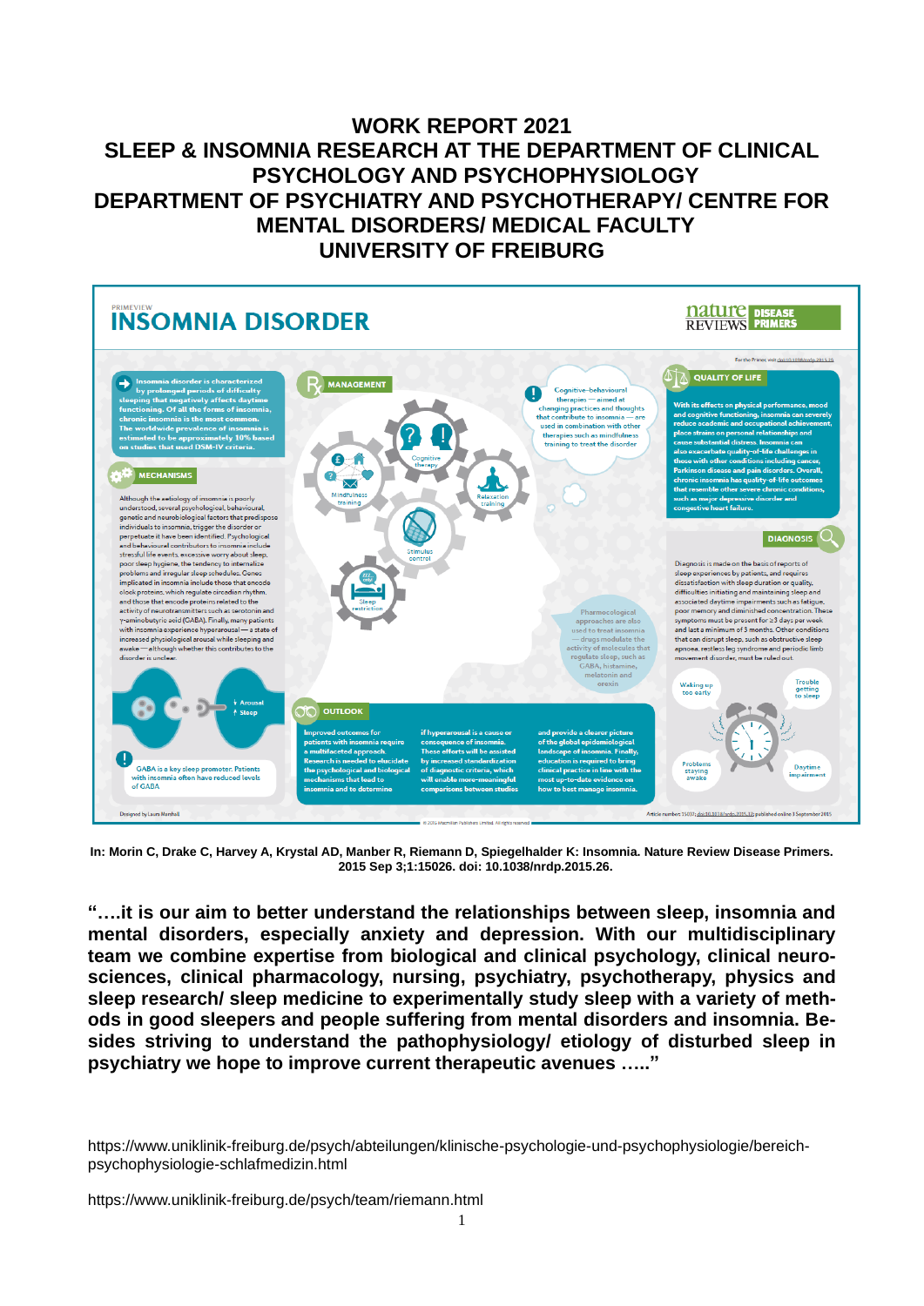# **WORK REPORT 2021 SLEEP & INSOMNIA RESEARCH AT THE DEPARTMENT OF CLINICAL PSYCHOLOGY AND PSYCHOPHYSIOLOGY DEPARTMENT OF PSYCHIATRY AND PSYCHOTHERAPY/ CENTRE FOR MENTAL DISORDERS/ MEDICAL FACULTY UNIVERSITY OF FREIBURG**



**In: Morin C, Drake C, Harvey A, Krystal AD, Manber R, Riemann D, Spiegelhalder K: Insomnia. Nature Review Disease Primers. 2015 Sep 3;1:15026. doi: 10.1038/nrdp.2015.26.**

**"….it is our aim to better understand the relationships between sleep, insomnia and mental disorders, especially anxiety and depression. With our multidisciplinary team we combine expertise from biological and clinical psychology, clinical neurosciences, clinical pharmacology, nursing, psychiatry, psychotherapy, physics and sleep research/ sleep medicine to experimentally study sleep with a variety of methods in good sleepers and people suffering from mental disorders and insomnia. Besides striving to understand the pathophysiology/ etiology of disturbed sleep in psychiatry we hope to improve current therapeutic avenues ….."**

https://www.uniklinik-freiburg.de/psych/abteilungen/klinische-psychologie-und-psychophysiologie/bereichpsychophysiologie-schlafmedizin.html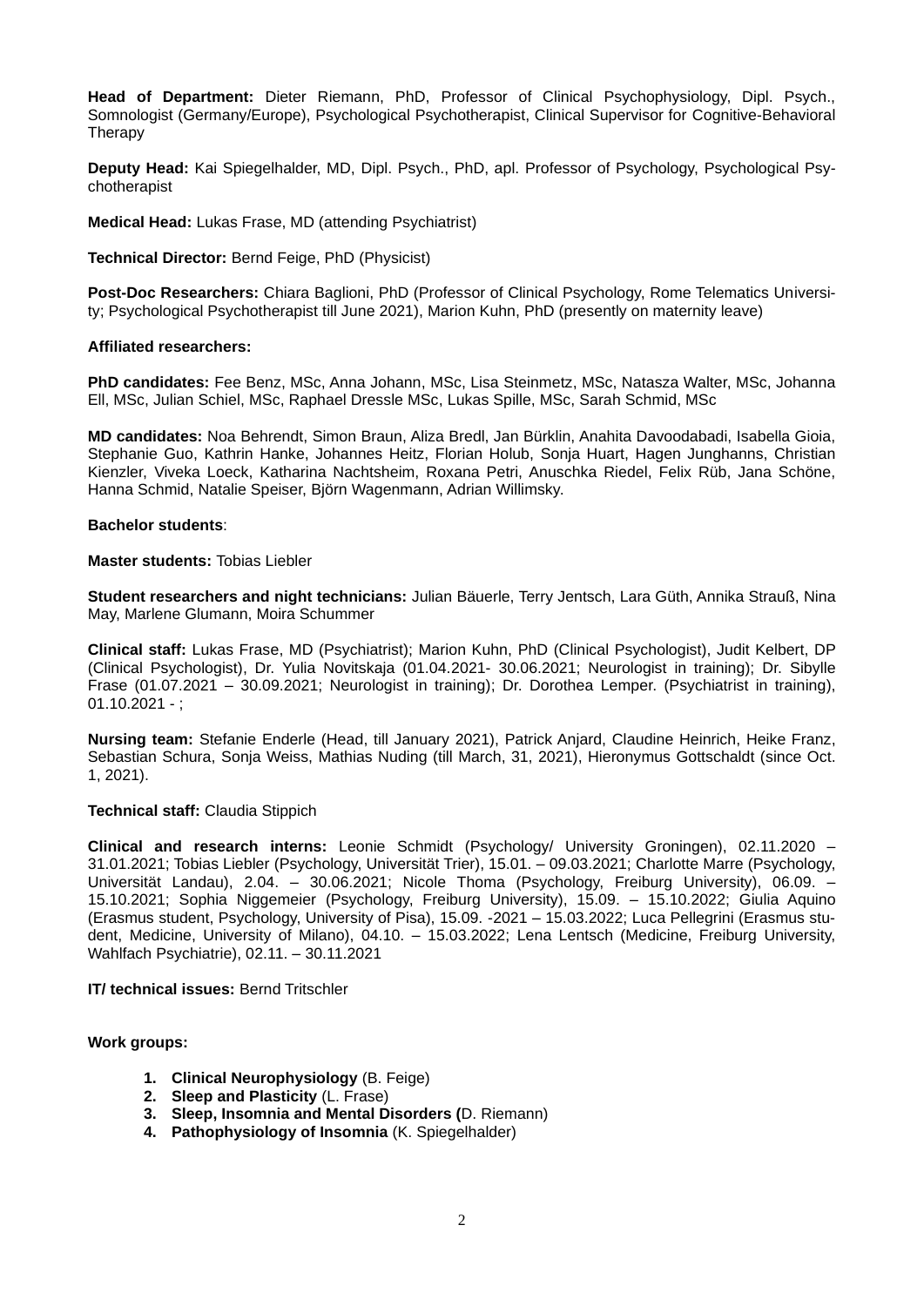**Head of Department:** Dieter Riemann, PhD, Professor of Clinical Psychophysiology, Dipl. Psych., Somnologist (Germany/Europe), Psychological Psychotherapist, Clinical Supervisor for Cognitive-Behavioral Therapy

**Deputy Head:** Kai Spiegelhalder, MD, Dipl. Psych., PhD, apl. Professor of Psychology, Psychological Psychotherapist

**Medical Head:** Lukas Frase, MD (attending Psychiatrist)

**Technical Director:** Bernd Feige, PhD (Physicist)

**Post-Doc Researchers:** Chiara Baglioni, PhD (Professor of Clinical Psychology, Rome Telematics University; Psychological Psychotherapist till June 2021), Marion Kuhn, PhD (presently on maternity leave)

#### **Affiliated researchers:**

**PhD candidates:** Fee Benz, MSc, Anna Johann, MSc, Lisa Steinmetz, MSc, Natasza Walter, MSc, Johanna Ell, MSc, Julian Schiel, MSc, Raphael Dressle MSc, Lukas Spille, MSc, Sarah Schmid, MSc

**MD candidates:** Noa Behrendt, Simon Braun, Aliza Bredl, Jan Bürklin, Anahita Davoodabadi, Isabella Gioia, Stephanie Guo, Kathrin Hanke, Johannes Heitz, Florian Holub, Sonja Huart, Hagen Junghanns, Christian Kienzler, Viveka Loeck, Katharina Nachtsheim, Roxana Petri, Anuschka Riedel, Felix Rüb, Jana Schöne, Hanna Schmid, Natalie Speiser, Björn Wagenmann, Adrian Willimsky.

#### **Bachelor students**:

#### **Master students:** Tobias Liebler

**Student researchers and night technicians:** Julian Bäuerle, Terry Jentsch, Lara Güth, Annika Strauß, Nina May, Marlene Glumann, Moira Schummer

**Clinical staff:** Lukas Frase, MD (Psychiatrist); Marion Kuhn, PhD (Clinical Psychologist), Judit Kelbert, DP (Clinical Psychologist), Dr. Yulia Novitskaja (01.04.2021- 30.06.2021; Neurologist in training); Dr. Sibylle Frase (01.07.2021 – 30.09.2021; Neurologist in training); Dr. Dorothea Lemper. (Psychiatrist in training),  $01.10.2021 -$ ;

**Nursing team:** Stefanie Enderle (Head, till January 2021), Patrick Anjard, Claudine Heinrich, Heike Franz, Sebastian Schura, Sonja Weiss, Mathias Nuding (till March, 31, 2021), Hieronymus Gottschaldt (since Oct. 1, 2021).

#### **Technical staff:** Claudia Stippich

**Clinical and research interns:** Leonie Schmidt (Psychology/ University Groningen), 02.11.2020 – 31.01.2021; Tobias Liebler (Psychology, Universität Trier), 15.01. – 09.03.2021; Charlotte Marre (Psychology, Universität Landau), 2.04. – 30.06.2021; Nicole Thoma (Psychology, Freiburg University), 06.09. – 15.10.2021; Sophia Niggemeier (Psychology, Freiburg University), 15.09. – 15.10.2022; Giulia Aquino (Erasmus student, Psychology, University of Pisa), 15.09. -2021 – 15.03.2022; Luca Pellegrini (Erasmus student, Medicine, University of Milano), 04.10. – 15.03.2022; Lena Lentsch (Medicine, Freiburg University, Wahlfach Psychiatrie), 02.11. – 30.11.2021

#### **IT/ technical issues:** Bernd Tritschler

### **Work groups:**

- **1. Clinical Neurophysiology** (B. Feige)
- **2. Sleep and Plasticity** (L. Frase)
- **3. Sleep, Insomnia and Mental Disorders (**D. Riemann)
- **4. Pathophysiology of Insomnia** (K. Spiegelhalder)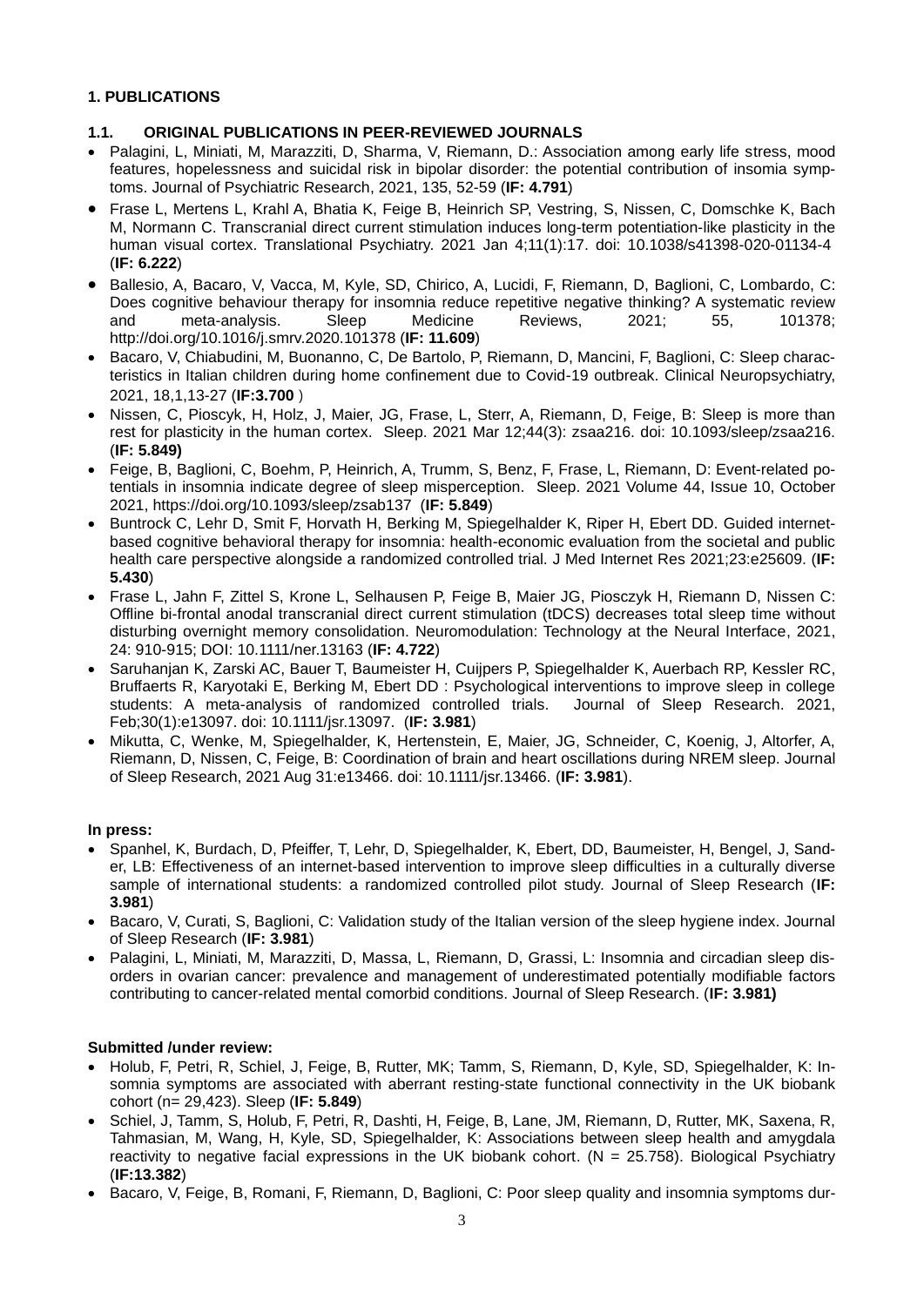### **1. PUBLICATIONS**

### **1.1. ORIGINAL PUBLICATIONS IN PEER-REVIEWED JOURNALS**

- Palagini, L, Miniati, M, Marazziti, D, Sharma, V, Riemann, D.: Association among early life stress, mood features, hopelessness and suicidal risk in bipolar disorder: the potential contribution of insomia symptoms. Journal of Psychiatric Research, 2021, 135, 52-59 (**IF: 4.791**)
- Frase L, Mertens L, Krahl A, Bhatia K, Feige B, Heinrich SP, Vestring, S, Nissen, C, Domschke K, Bach M, Normann C. Transcranial direct current stimulation induces long-term potentiation-like plasticity in the human visual cortex. Translational Psychiatry. 2021 Jan 4;11(1):17. doi: 10.1038/s41398-020-01134-4 (**IF: 6.222**)
- Ballesio, A, Bacaro, V, Vacca, M, Kyle, SD, Chirico, A, Lucidi, F, Riemann, D, Baglioni, C, Lombardo, C: Does cognitive behaviour therapy for insomnia reduce repetitive negative thinking? A systematic review<br>and meta-analysis. Sleep Medicine Reviews. 2021: 55. 101378: and meta-analysis. Sleep Medicine Reviews, 2021; 55, 101378; http://doi.org/10.1016/j.smrv.2020.101378 (**IF: 11.609**)
- Bacaro, V, Chiabudini, M, Buonanno, C, De Bartolo, P, Riemann, D, Mancini, F, Baglioni, C: Sleep characteristics in Italian children during home confinement due to Covid-19 outbreak. Clinical Neuropsychiatry, 2021, 18,1,13-27 (**IF:3.700** )
- Nissen, C, Pioscyk, H, Holz, J, Maier, JG, Frase, L, Sterr, A, Riemann, D, Feige, B: Sleep is more than rest for plasticity in the human cortex. Sleep. 2021 Mar 12;44(3): zsaa216. doi: 10.1093/sleep/zsaa216. (**IF: 5.849)**
- Feige, B, Baglioni, C, Boehm, P, Heinrich, A, Trumm, S, Benz, F, Frase, L, Riemann, D: Event-related potentials in insomnia indicate degree of sleep misperception. Sleep. 2021 Volume 44, Issue 10, October 2021,<https://doi.org/10.1093/sleep/zsab137> (**IF: 5.849**)
- Buntrock C, Lehr D, Smit F, Horvath H, Berking M, Spiegelhalder K, Riper H, Ebert DD. Guided internetbased cognitive behavioral therapy for insomnia: health-economic evaluation from the societal and public health care perspective alongside a randomized controlled trial. J Med Internet Res 2021;23:e25609. (**IF: 5.430**)
- Frase L, Jahn F, Zittel S, Krone L, Selhausen P, Feige B, Maier JG, Piosczyk H, Riemann D, Nissen C: Offline bi-frontal anodal transcranial direct current stimulation (tDCS) decreases total sleep time without disturbing overnight memory consolidation. Neuromodulation: Technology at the Neural Interface, 2021, 24: 910-915; DOI: 10.1111/ner.13163 (**IF: 4.722**)
- Saruhanjan K, Zarski AC, Bauer T, Baumeister H, Cuijpers P, Spiegelhalder K, Auerbach RP, Kessler RC, Bruffaerts R, Karyotaki E, Berking M, Ebert DD : [Psychological interventions to improve sleep in college](https://pubmed.ncbi.nlm.nih.gov/32672865/) students: A meta-analysis of randomized controlled trials. Journal of Sleep Research. 2021, students: A meta-analysis of randomized controlled trials. Feb;30(1):e13097. doi: 10.1111/jsr.13097. (**IF: 3.981**)
- Mikutta, C, Wenke, M, Spiegelhalder, K, Hertenstein, E, Maier, JG, Schneider, C, Koenig, J, Altorfer, A, Riemann, D, Nissen, C, Feige, B: Coordination of brain and heart oscillations during NREM sleep. Journal of Sleep Research, 2021 Aug 31:e13466. doi: 10.1111/jsr.13466. (**IF: 3.981**).

### **In press:**

- Spanhel, K, Burdach, D, Pfeiffer, T, Lehr, D, Spiegelhalder, K, Ebert, DD, Baumeister, H, Bengel, J, Sander, LB: Effectiveness of an internet-based intervention to improve sleep difficulties in a culturally diverse sample of international students: a randomized controlled pilot study. Journal of Sleep Research (**IF: 3.981**)
- Bacaro, V, Curati, S, Baglioni, C: Validation study of the Italian version of the sleep hygiene index. Journal of Sleep Research (**IF: 3.981**)
- Palagini, L, Miniati, M, Marazziti, D, Massa, L, Riemann, D, Grassi, L: Insomnia and circadian sleep disorders in ovarian cancer: prevalence and management of underestimated potentially modifiable factors contributing to cancer-related mental comorbid conditions. Journal of Sleep Research. (**IF: 3.981)**

### **Submitted /under review:**

- Holub, F, Petri, R, Schiel, J, Feige, B, Rutter, MK; Tamm, S, Riemann, D, Kyle, SD, Spiegelhalder, K: Insomnia symptoms are associated with aberrant resting-state functional connectivity in the UK biobank cohort (n= 29,423). Sleep (**IF: 5.849**)
- Schiel, J, Tamm, S, Holub, F, Petri, R, Dashti, H, Feige, B, Lane, JM, Riemann, D, Rutter, MK, Saxena, R, Tahmasian, M, Wang, H, Kyle, SD, Spiegelhalder, K: Associations between sleep health and amygdala reactivity to negative facial expressions in the UK biobank cohort. ( $N = 25.758$ ). Biological Psychiatry (**IF:13.382**)
- Bacaro, V, Feige, B, Romani, F, Riemann, D, Baglioni, C: Poor sleep quality and insomnia symptoms dur-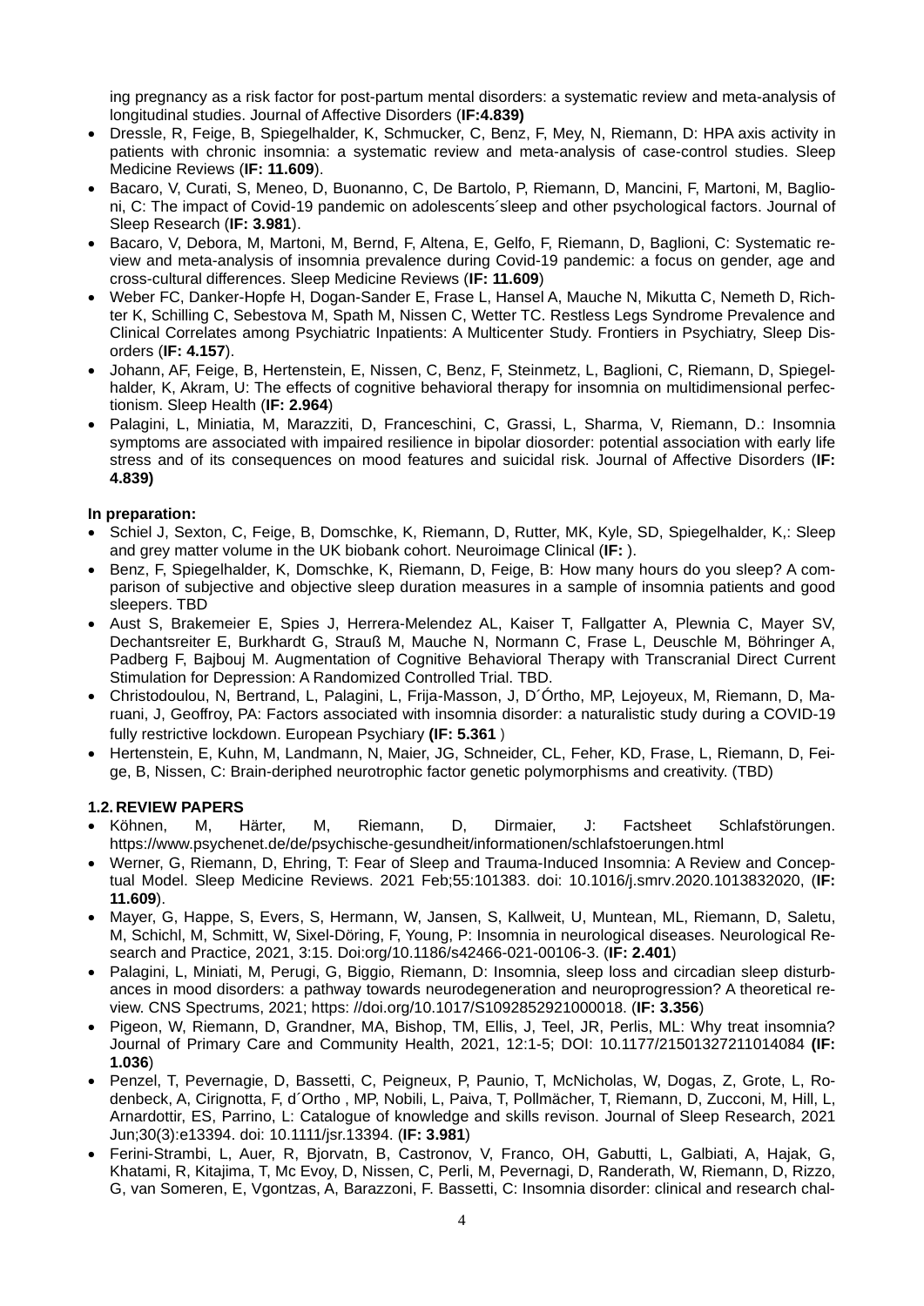ing pregnancy as a risk factor for post-partum mental disorders: a systematic review and meta-analysis of longitudinal studies. Journal of Affective Disorders (**IF:4.839)**

- Dressle, R, Feige, B, Spiegelhalder, K, Schmucker, C, Benz, F, Mey, N, Riemann, D: HPA axis activity in patients with chronic insomnia: a systematic review and meta-analysis of case-control studies. Sleep Medicine Reviews (**IF: 11.609**).
- Bacaro, V, Curati, S, Meneo, D, Buonanno, C, De Bartolo, P, Riemann, D, Mancini, F, Martoni, M, Baglioni, C: The impact of Covid-19 pandemic on adolescents´sleep and other psychological factors. Journal of Sleep Research (**IF: 3.981**).
- Bacaro, V, Debora, M, Martoni, M, Bernd, F, Altena, E, Gelfo, F, Riemann, D, Baglioni, C: Systematic review and meta-analysis of insomnia prevalence during Covid-19 pandemic: a focus on gender, age and cross-cultural differences. Sleep Medicine Reviews (**IF: 11.609**)
- Weber FC, Danker-Hopfe H, Dogan-Sander E, Frase L, Hansel A, Mauche N, Mikutta C, Nemeth D, Richter K, Schilling C, Sebestova M, Spath M, Nissen C, Wetter TC. Restless Legs Syndrome Prevalence and Clinical Correlates among Psychiatric Inpatients: A Multicenter Study. Frontiers in Psychiatry, Sleep Disorders (**IF: 4.157**).
- Johann, AF, Feige, B, Hertenstein, E, Nissen, C, Benz, F, Steinmetz, L, Baglioni, C, Riemann, D, Spiegelhalder, K, Akram, U: The effects of cognitive behavioral therapy for insomnia on multidimensional perfectionism. Sleep Health (**IF: 2.964**)
- Palagini, L, Miniatia, M, Marazziti, D, Franceschini, C, Grassi, L, Sharma, V, Riemann, D.: Insomnia symptoms are associated with impaired resilience in bipolar diosorder: potential association with early life stress and of its consequences on mood features and suicidal risk. Journal of Affective Disorders (**IF: 4.839)**

### **In preparation:**

- Schiel J, Sexton, C, Feige, B, Domschke, K, Riemann, D, Rutter, MK, Kyle, SD, Spiegelhalder, K,: Sleep and grey matter volume in the UK biobank cohort. Neuroimage Clinical (**IF:** ).
- Benz, F, Spiegelhalder, K, Domschke, K, Riemann, D, Feige, B: How many hours do you sleep? A comparison of subjective and objective sleep duration measures in a sample of insomnia patients and good sleepers. TBD
- Aust S, Brakemeier E, Spies J, Herrera-Melendez AL, Kaiser T, Fallgatter A, Plewnia C, Mayer SV, Dechantsreiter E, Burkhardt G, Strauß M, Mauche N, Normann C, Frase L, Deuschle M, Böhringer A, Padberg F, Bajbouj M. Augmentation of Cognitive Behavioral Therapy with Transcranial Direct Current Stimulation for Depression: A Randomized Controlled Trial. TBD.
- Christodoulou, N, Bertrand, L, Palagini, L, Frija-Masson, J, D´Órtho, MP, Lejoyeux, M, Riemann, D, Maruani, J, Geoffroy, PA: Factors associated with insomnia disorder: a naturalistic study during a COVID-19 fully restrictive lockdown. European Psychiary **(IF: 5.361** )
- Hertenstein, E, Kuhn, M, Landmann, N, Maier, JG, Schneider, CL, Feher, KD, Frase, L, Riemann, D, Feige, B, Nissen, C: Brain-deriphed neurotrophic factor genetic polymorphisms and creativity. (TBD)

### **1.2. REVIEW PAPERS**

- Köhnen, M, Härter, M, Riemann, D, Dirmaier, J: Factsheet Schlafstörungen. <https://www.psychenet.de/de/psychische-gesundheit/informationen/schlafstoerungen.html>
- Werner, G, Riemann, D, Ehring, T: Fear of Sleep and Trauma-Induced Insomnia: A Review and Conceptual Model. Sleep Medicine Reviews. 2021 Feb;55:101383. doi: 10.1016/j.smrv.2020.1013832020, (**IF: 11.609**).
- Mayer, G, Happe, S, Evers, S, Hermann, W, Jansen, S, Kallweit, U, Muntean, ML, Riemann, D, Saletu, M, Schichl, M, Schmitt, W, Sixel-Döring, F, Young, P: Insomnia in neurological diseases. Neurological Research and Practice, 2021, 3:15. Doi:org/10.1186/s42466-021-00106-3. (**IF: 2.401**)
- Palagini, L, Miniati, M, Perugi, G, Biggio, Riemann, D: Insomnia, sleep loss and circadian sleep disturbances in mood disorders: a pathway towards neurodegeneration and neuroprogression? A theoretical review. CNS Spectrums, 2021; https: //doi.org/10.1017/S1092852921000018. (**IF: 3.356**)
- Pigeon, W, Riemann, D, Grandner, MA, Bishop, TM, Ellis, J, Teel, JR, Perlis, ML: Why treat insomnia? Journal of Primary Care and Community Health, 2021, 12:1-5; DOI: 10.1177/21501327211014084 **(IF: 1.036**)
- Penzel, T, Pevernagie, D, Bassetti, C, Peigneux, P, Paunio, T, McNicholas, W, Dogas, Z, Grote, L, Rodenbeck, A, Cirignotta, F, d´Ortho , MP, Nobili, L, Paiva, T, Pollmächer, T, Riemann, D, Zucconi, M, Hill, L, Arnardottir, ES, Parrino, L: Catalogue of knowledge and skills revison. Journal of Sleep Research, 2021 Jun;30(3):e13394. doi: 10.1111/jsr.13394. (**IF: 3.981**)
- Ferini-Strambi, L, Auer, R, Bjorvatn, B, Castronov, V, Franco, OH, Gabutti, L, Galbiati, A, Hajak, G, Khatami, R, Kitajima, T, Mc Evoy, D, Nissen, C, Perli, M, Pevernagi, D, Randerath, W, Riemann, D, Rizzo, G, van Someren, E, Vgontzas, A, Barazzoni, F. Bassetti, C: Insomnia disorder: clinical and research chal-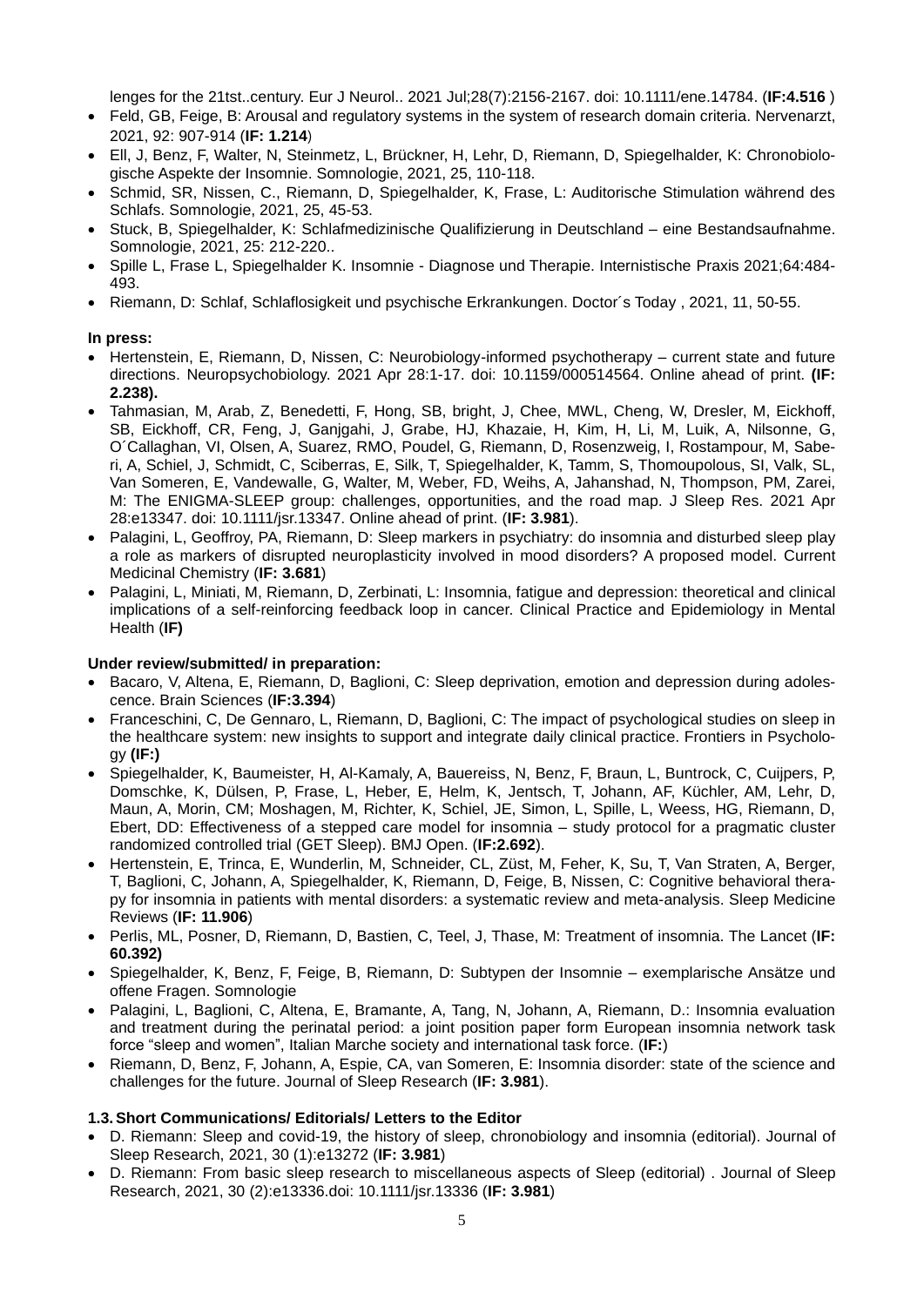lenges for the 21tst..century. Eur J Neurol.. 2021 Jul;28(7):2156-2167. doi: 10.1111/ene.14784. (**IF:4.516** )

- Feld, GB, Feige, B: Arousal and regulatory systems in the system of research domain criteria. Nervenarzt, 2021, 92: 907-914 (**IF: 1.214**)
- Ell, J, Benz, F, Walter, N, Steinmetz, L, Brückner, H, Lehr, D, Riemann, D, Spiegelhalder, K: Chronobiologische Aspekte der Insomnie. Somnologie, 2021, 25, 110-118.
- Schmid, SR, Nissen, C., Riemann, D, Spiegelhalder, K, Frase, L: Auditorische Stimulation während des Schlafs. Somnologie, 2021, 25, 45-53.
- Stuck, B, Spiegelhalder, K: Schlafmedizinische Qualifizierung in Deutschland eine Bestandsaufnahme. Somnologie, 2021, 25: 212-220..
- Spille L, Frase L, Spiegelhalder K. Insomnie Diagnose und Therapie. Internistische Praxis 2021;64:484- 493.
- Riemann, D: Schlaf, Schlaflosigkeit und psychische Erkrankungen. Doctor´s Today , 2021, 11, 50-55.

#### **In press:**

- Hertenstein, E, Riemann, D, Nissen, C: Neurobiology-informed psychotherapy current state and future directions. Neuropsychobiology. 2021 Apr 28:1-17. doi: 10.1159/000514564. Online ahead of print. **(IF: 2.238).**
- Tahmasian, M, Arab, Z, Benedetti, F, Hong, SB, bright, J, Chee, MWL, Cheng, W, Dresler, M, Eickhoff, SB, Eickhoff, CR, Feng, J, Ganjgahi, J, Grabe, HJ, Khazaie, H, Kim, H, Li, M, Luik, A, Nilsonne, G, O´Callaghan, VI, Olsen, A, Suarez, RMO, Poudel, G, Riemann, D, Rosenzweig, I, Rostampour, M, Saberi, A, Schiel, J, Schmidt, C, Sciberras, E, Silk, T, Spiegelhalder, K, Tamm, S, Thomoupolous, SI, Valk, SL, Van Someren, E, Vandewalle, G, Walter, M, Weber, FD, Weihs, A, Jahanshad, N, Thompson, PM, Zarei, M: The ENIGMA-SLEEP group: challenges, opportunities, and the road map. J Sleep Res. 2021 Apr 28:e13347. doi: 10.1111/jsr.13347. Online ahead of print. (**IF: 3.981**).
- Palagini, L, Geoffroy, PA, Riemann, D: Sleep markers in psychiatry: do insomnia and disturbed sleep play a role as markers of disrupted neuroplasticity involved in mood disorders? A proposed model. Current Medicinal Chemistry (**IF: 3.681**)
- Palagini, L, Miniati, M, Riemann, D, Zerbinati, L: Insomnia, fatigue and depression: theoretical and clinical implications of a self-reinforcing feedback loop in cancer. Clinical Practice and Epidemiology in Mental Health (**IF)**

#### **Under review/submitted/ in preparation:**

- Bacaro, V, Altena, E, Riemann, D, Baglioni, C; Sleep deprivation, emotion and depression during adolescence. Brain Sciences (**IF:3.394**)
- Franceschini, C, De Gennaro, L, Riemann, D, Baglioni, C: The impact of psychological studies on sleep in the healthcare system: new insights to support and integrate daily clinical practice. Frontiers in Psychology **(IF:)**
- Spiegelhalder, K, Baumeister, H, Al-Kamaly, A, Bauereiss, N, Benz, F, Braun, L, Buntrock, C, Cuijpers, P, Domschke, K, Dülsen, P, Frase, L, Heber, E, Helm, K, Jentsch, T, Johann, AF, Küchler, AM, Lehr, D, Maun, A, Morin, CM; Moshagen, M, Richter, K, Schiel, JE, Simon, L, Spille, L, Weess, HG, Riemann, D, Ebert, DD: Effectiveness of a stepped care model for insomnia – study protocol for a pragmatic cluster randomized controlled trial (GET Sleep). BMJ Open. (**IF:2.692**).
- Hertenstein, E, Trinca, E, Wunderlin, M, Schneider, CL, Züst, M, Feher, K, Su, T, Van Straten, A, Berger, T, Baglioni, C, Johann, A, Spiegelhalder, K, Riemann, D, Feige, B, Nissen, C: Cognitive behavioral therapy for insomnia in patients with mental disorders: a systematic review and meta-analysis. Sleep Medicine Reviews (**IF: 11.906**)
- Perlis, ML, Posner, D, Riemann, D, Bastien, C, Teel, J, Thase, M: Treatment of insomnia. The Lancet (**IF: 60.392)**
- Spiegelhalder, K, Benz, F, Feige, B, Riemann, D: Subtypen der Insomnie exemplarische Ansätze und offene Fragen. Somnologie
- Palagini, L, Baglioni, C, Altena, E, Bramante, A, Tang, N, Johann, A, Riemann, D.: Insomnia evaluation and treatment during the perinatal period: a joint position paper form European insomnia network task force "sleep and women", Italian Marche society and international task force. (**IF:**)
- Riemann, D, Benz, F, Johann, A, Espie, CA, van Someren, E: Insomnia disorder: state of the science and challenges for the future. Journal of Sleep Research (**IF: 3.981**).

### **1.3.Short Communications/ Editorials/ Letters to the Editor**

- D. Riemann: Sleep and covid-19, the history of sleep, chronobiology and insomnia (editorial). Journal of Sleep Research, 2021, 30 (1):e13272 (**IF: 3.981**)
- D. Riemann: From basic sleep research to miscellaneous aspects of Sleep (editorial) . Journal of Sleep Research, 2021, 30 (2):e13336.doi: 10.1111/jsr.13336 (**IF: 3.981**)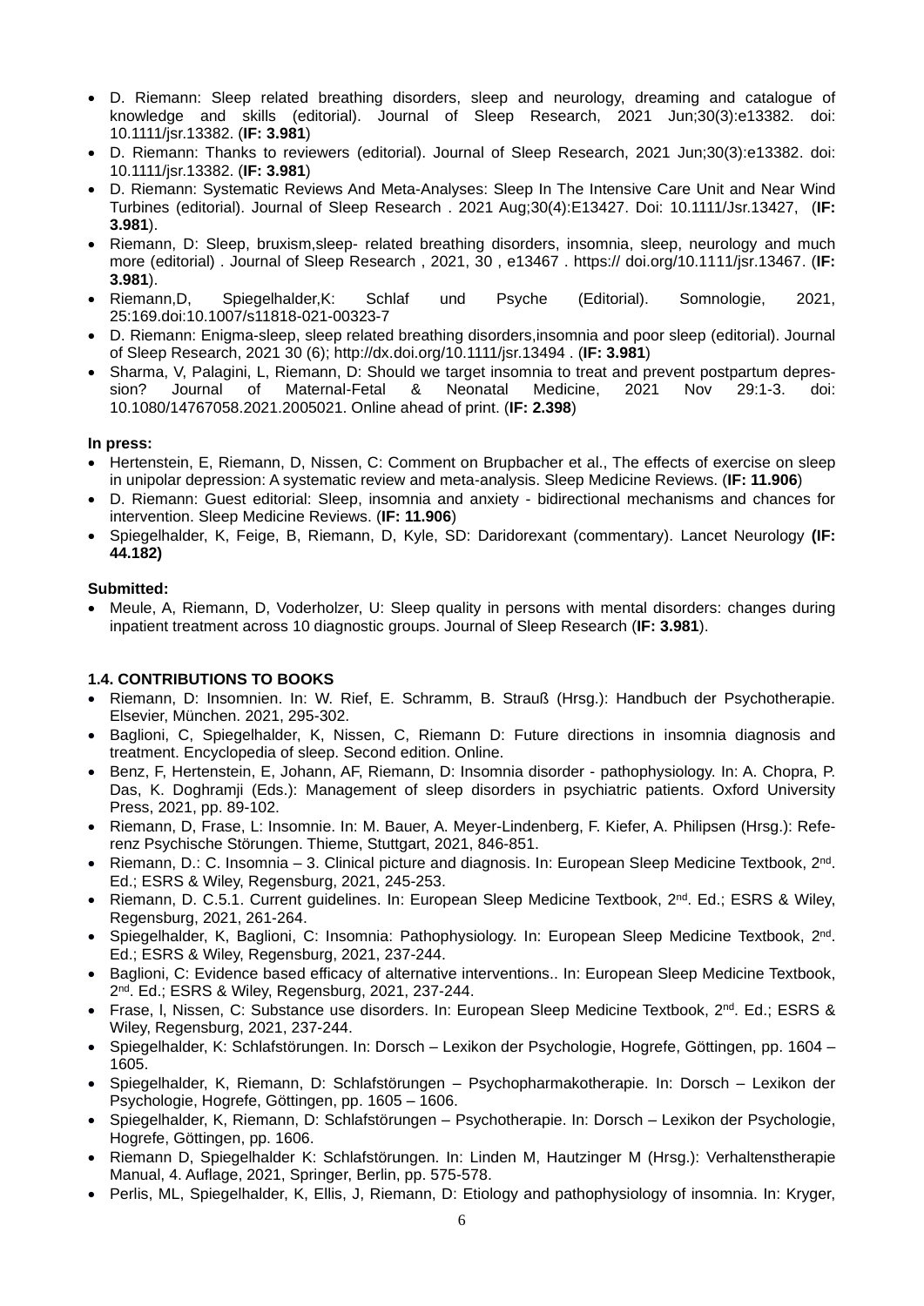- D. Riemann: Sleep related breathing disorders, sleep and neurology, dreaming and catalogue of knowledge and skills (editorial). Journal of Sleep Research, 2021 Jun;30(3):e13382. doi: 10.1111/jsr.13382. (**IF: 3.981**)
- D. Riemann: Thanks to reviewers (editorial). Journal of Sleep Research, 2021 Jun;30(3):e13382. doi: 10.1111/jsr.13382. (**IF: 3.981**)
- D. Riemann: Systematic Reviews And Meta-Analyses: Sleep In The Intensive Care Unit and Near Wind Turbines (editorial). Journal of Sleep Research . 2021 Aug;30(4):E13427. Doi: 10.1111/Jsr.13427, (**IF: 3.981**).
- Riemann, D: Sleep, bruxism,sleep- related breathing disorders, insomnia, sleep, neurology and much more (editorial) . Journal of Sleep Research , 2021, 30 , e13467 . https:// doi.org/10.1111/jsr.13467. (**IF: 3.981**).
- Riemann,D, Spiegelhalder,K: Schlaf und Psyche (Editorial). Somnologie, 2021, 25:169.doi:10.1007/s11818-021-00323-7
- D. Riemann: Enigma-sleep, sleep related breathing disorders,insomnia and poor sleep (editorial). Journal of Sleep Research, 2021 30 (6);<http://dx.doi.org/10.1111/jsr.13494> . (**IF: 3.981**)
- Sharma, V, Palagini, L, Riemann, D: Should we target insomnia to treat and prevent postpartum depression? Journal of Maternal-Fetal & Neonatal Medicine, 2021 Nov 29:1-3. doi: 10.1080/14767058.2021.2005021. Online ahead of print. (**IF: 2.398**)

#### **In press:**

- Hertenstein, E, Riemann, D, Nissen, C: Comment on Brupbacher et al., The effects of exercise on sleep in unipolar depression: A systematic review and meta-analysis. Sleep Medicine Reviews. (**IF: 11.906**)
- D. Riemann: Guest editorial: Sleep, insomnia and anxiety bidirectional mechanisms and chances for intervention. Sleep Medicine Reviews. (**IF: 11.906**)
- Spiegelhalder, K, Feige, B, Riemann, D, Kyle, SD: Daridorexant (commentary). Lancet Neurology **(IF: 44.182)**

#### **Submitted:**

• Meule, A, Riemann, D, Voderholzer, U: Sleep quality in persons with mental disorders: changes during inpatient treatment across 10 diagnostic groups. Journal of Sleep Research (**IF: 3.981**).

### **1.4. CONTRIBUTIONS TO BOOKS**

- Riemann, D: Insomnien. In: W. Rief, E. Schramm, B. Strauß (Hrsg.): Handbuch der Psychotherapie. Elsevier, München. 2021, 295-302.
- Baglioni, C, Spiegelhalder, K, Nissen, C, Riemann D: Future directions in insomnia diagnosis and treatment. Encyclopedia of sleep. Second edition. Online.
- Benz, F, Hertenstein, E, Johann, AF, Riemann, D: Insomnia disorder pathophysiology. In: A. Chopra, P. Das, K. Doghramji (Eds.): Management of sleep disorders in psychiatric patients. Oxford University Press, 2021, pp. 89-102.
- Riemann, D, Frase, L: Insomnie. In: M. Bauer, A. Meyer-Lindenberg, F. Kiefer, A. Philipsen (Hrsg.): Referenz Psychische Störungen. Thieme, Stuttgart, 2021, 846-851.
- Riemann, D.: C. Insomnia 3. Clinical picture and diagnosis. In: European Sleep Medicine Textbook, 2<sup>nd</sup>. Ed.; ESRS & Wiley, Regensburg, 2021, 245-253.
- Riemann, D. C.5.1. Current guidelines. In: European Sleep Medicine Textbook, 2nd. Ed.; ESRS & Wiley, Regensburg, 2021, 261-264.
- Spiegelhalder, K, Baglioni, C: Insomnia: Pathophysiology. In: European Sleep Medicine Textbook, 2<sup>nd</sup>. Ed.; ESRS & Wiley, Regensburg, 2021, 237-244.
- Baglioni, C: Evidence based efficacy of alternative interventions.. In: European Sleep Medicine Textbook, 2<sup>nd</sup>. Ed.; ESRS & Wiley, Regensburg, 2021, 237-244.
- Frase, I, Nissen, C: Substance use disorders. In: European Sleep Medicine Textbook, 2<sup>nd</sup>. Ed.; ESRS & Wiley, Regensburg, 2021, 237-244.
- Spiegelhalder, K: Schlafstörungen. In: Dorsch Lexikon der Psychologie, Hogrefe, Göttingen, pp. 1604 1605.
- Spiegelhalder, K, Riemann, D: Schlafstörungen Psychopharmakotherapie. In: Dorsch Lexikon der Psychologie, Hogrefe, Göttingen, pp. 1605 – 1606.
- Spiegelhalder, K, Riemann, D: Schlafstörungen Psychotherapie. In: Dorsch Lexikon der Psychologie, Hogrefe, Göttingen, pp. 1606.
- Riemann D, Spiegelhalder K: Schlafstörungen. In: Linden M, Hautzinger M (Hrsg.): Verhaltenstherapie Manual, 4. Auflage, 2021, Springer, Berlin, pp. 575-578.
- Perlis, ML, Spiegelhalder, K, Ellis, J, Riemann, D: Etiology and pathophysiology of insomnia. In: Kryger,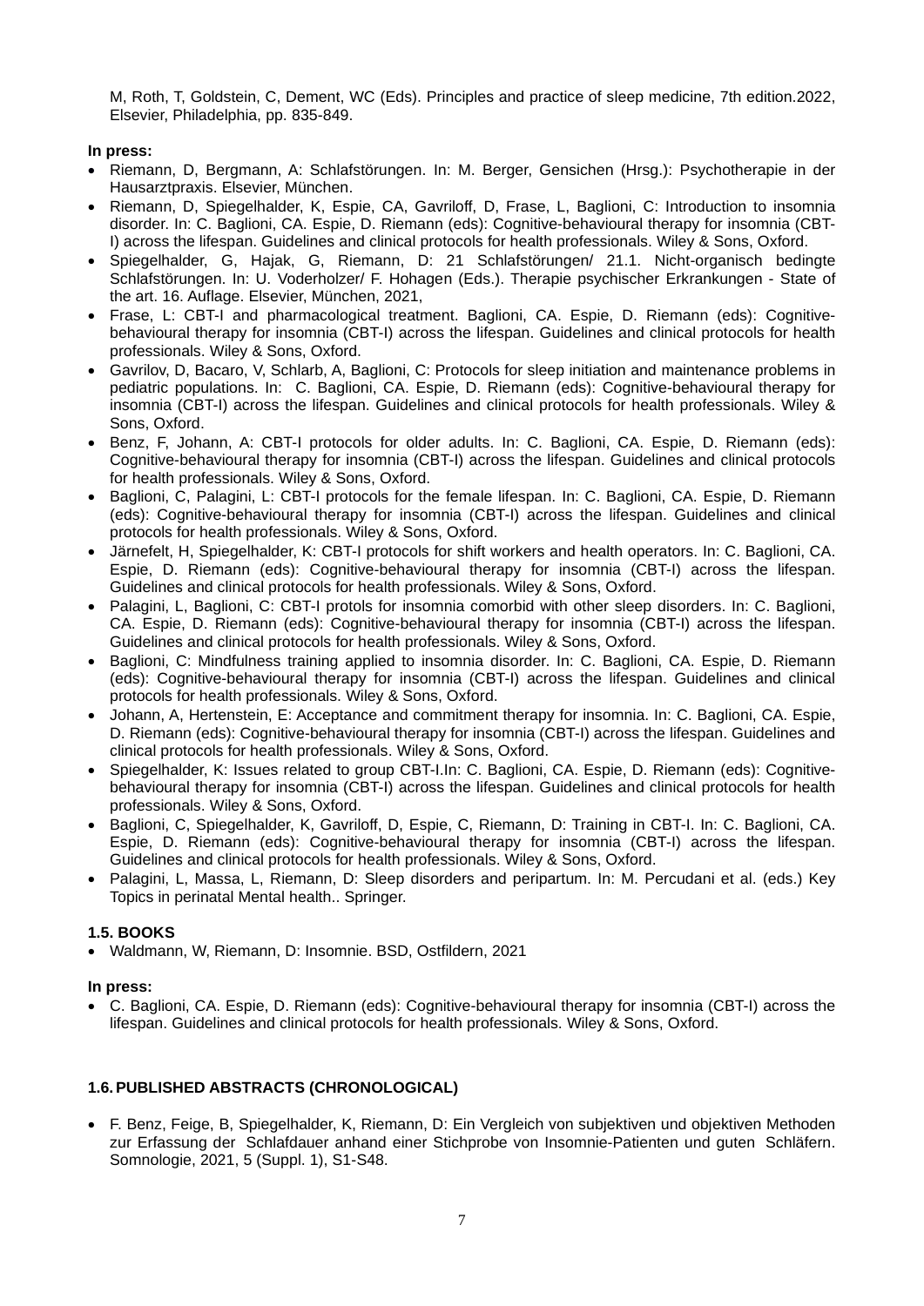M, Roth, T, Goldstein, C, Dement, WC (Eds). Principles and practice of sleep medicine, 7th edition.2022, Elsevier, Philadelphia, pp. 835-849.

### **In press:**

- Riemann, D, Bergmann, A: Schlafstörungen. In: M. Berger, Gensichen (Hrsg.): Psychotherapie in der Hausarztpraxis. Elsevier, München.
- Riemann, D, Spiegelhalder, K, Espie, CA, Gavriloff, D, Frase, L, Baglioni, C: Introduction to insomnia disorder. In: C. Baglioni, CA. Espie, D. Riemann (eds): Cognitive-behavioural therapy for insomnia (CBT-I) across the lifespan. Guidelines and clinical protocols for health professionals. Wiley & Sons, Oxford.
- Spiegelhalder, G, Hajak, G, Riemann, D: 21 Schlafstörungen/ 21.1. Nicht-organisch bedingte Schlafstörungen. In: U. Voderholzer/ F. Hohagen (Eds.). Therapie psychischer Erkrankungen - State of the art. 16. Auflage. Elsevier, München, 2021,
- Frase, L: CBT-I and pharmacological treatment. Baglioni, CA. Espie, D. Riemann (eds): Cognitivebehavioural therapy for insomnia (CBT-I) across the lifespan. Guidelines and clinical protocols for health professionals. Wiley & Sons, Oxford.
- Gavrilov, D, Bacaro, V, Schlarb, A, Baglioni, C: Protocols for sleep initiation and maintenance problems in pediatric populations. In: C. Baglioni, CA. Espie, D. Riemann (eds): Cognitive-behavioural therapy for insomnia (CBT-I) across the lifespan. Guidelines and clinical protocols for health professionals. Wiley & Sons, Oxford.
- Benz, F, Johann, A: CBT-I protocols for older adults. In: C. Baglioni, CA. Espie, D. Riemann (eds): Cognitive-behavioural therapy for insomnia (CBT-I) across the lifespan. Guidelines and clinical protocols for health professionals. Wiley & Sons, Oxford.
- Baglioni, C, Palagini, L: CBT-I protocols for the female lifespan. In: C. Baglioni, CA. Espie, D. Riemann (eds): Cognitive-behavioural therapy for insomnia (CBT-I) across the lifespan. Guidelines and clinical protocols for health professionals. Wiley & Sons, Oxford.
- Järnefelt, H, Spiegelhalder, K: CBT-I protocols for shift workers and health operators. In: C. Baglioni, CA. Espie, D. Riemann (eds): Cognitive-behavioural therapy for insomnia (CBT-I) across the lifespan. Guidelines and clinical protocols for health professionals. Wiley & Sons, Oxford.
- Palagini, L, Baglioni, C: CBT-I protols for insomnia comorbid with other sleep disorders. In: C. Baglioni, CA. Espie, D. Riemann (eds): Cognitive-behavioural therapy for insomnia (CBT-I) across the lifespan. Guidelines and clinical protocols for health professionals. Wiley & Sons, Oxford.
- Baglioni, C: Mindfulness training applied to insomnia disorder. In: C. Baglioni, CA. Espie, D. Riemann (eds): Cognitive-behavioural therapy for insomnia (CBT-I) across the lifespan. Guidelines and clinical protocols for health professionals. Wiley & Sons, Oxford.
- Johann, A, Hertenstein, E: Acceptance and commitment therapy for insomnia. In: C. Baglioni, CA. Espie, D. Riemann (eds): Cognitive-behavioural therapy for insomnia (CBT-I) across the lifespan. Guidelines and clinical protocols for health professionals. Wiley & Sons, Oxford.
- Spiegelhalder, K: Issues related to group CBT-I.In: C. Baglioni, CA. Espie, D. Riemann (eds): Cognitivebehavioural therapy for insomnia (CBT-I) across the lifespan. Guidelines and clinical protocols for health professionals. Wiley & Sons, Oxford.
- Baglioni, C, Spiegelhalder, K, Gavriloff, D, Espie, C, Riemann, D: Training in CBT-I. In: C. Baglioni, CA. Espie, D. Riemann (eds): Cognitive-behavioural therapy for insomnia (CBT-I) across the lifespan. Guidelines and clinical protocols for health professionals. Wiley & Sons, Oxford.
- Palagini, L, Massa, L, Riemann, D: Sleep disorders and peripartum. In: M. Percudani et al. (eds.) Key Topics in perinatal Mental health.. Springer.

### **1.5. BOOKS**

• Waldmann, W, Riemann, D: Insomnie. BSD, Ostfildern, 2021

### **In press:**

• C. Baglioni, CA. Espie, D. Riemann (eds): Cognitive-behavioural therapy for insomnia (CBT-I) across the lifespan. Guidelines and clinical protocols for health professionals. Wiley & Sons, Oxford.

### **1.6.PUBLISHED ABSTRACTS (CHRONOLOGICAL)**

• F. Benz, Feige, B, Spiegelhalder, K, Riemann, D: Ein Vergleich von subjektiven und objektiven Methoden zur Erfassung der Schlafdauer anhand einer Stichprobe von Insomnie-Patienten und guten Schläfern. Somnologie, 2021, 5 (Suppl. 1), S1-S48.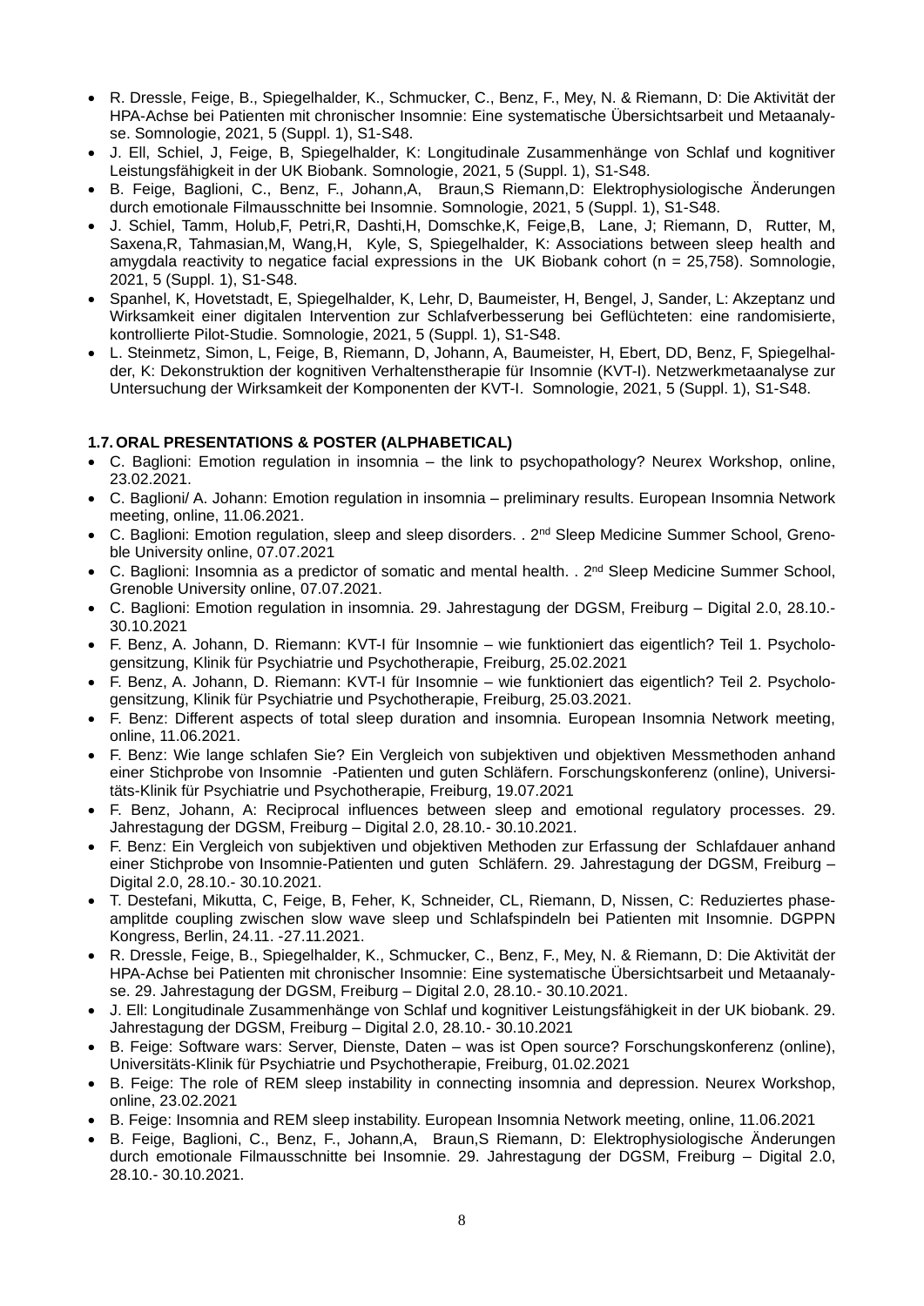- R. Dressle, Feige, B., Spiegelhalder, K., Schmucker, C., Benz, F., Mey, N. & Riemann, D: Die Aktivität der HPA-Achse bei Patienten mit chronischer Insomnie: Eine systematische Übersichtsarbeit und Metaanalyse. Somnologie, 2021, 5 (Suppl. 1), S1-S48.
- J. Ell, Schiel, J, Feige, B, Spiegelhalder, K: Longitudinale Zusammenhänge von Schlaf und kognitiver Leistungsfähigkeit in der UK Biobank. Somnologie, 2021, 5 (Suppl. 1), S1-S48.
- B. Feige, Baglioni, C., Benz, F., Johann,A, Braun,S Riemann,D: Elektrophysiologische Änderungen durch emotionale Filmausschnitte bei Insomnie. Somnologie, 2021, 5 (Suppl. 1), S1-S48.
- J. Schiel, Tamm, Holub,F, Petri,R, Dashti,H, Domschke,K, Feige,B, Lane, J; Riemann, D, Rutter, M, Saxena,R, Tahmasian,M, Wang,H, Kyle, S, Spiegelhalder, K: Associations between sleep health and amygdala reactivity to negatice facial expressions in the UK Biobank cohort ( $n = 25,758$ ). Somnologie, 2021, 5 (Suppl. 1), S1-S48.
- Spanhel, K, Hovetstadt, E, Spiegelhalder, K, Lehr, D, Baumeister, H, Bengel, J, Sander, L: Akzeptanz und Wirksamkeit einer digitalen Intervention zur Schlafverbesserung bei Geflüchteten: eine randomisierte, kontrollierte Pilot-Studie. Somnologie, 2021, 5 (Suppl. 1), S1-S48.
- L. Steinmetz, Simon, L, Feige, B, Riemann, D, Johann, A, Baumeister, H, Ebert, DD, Benz, F, Spiegelhalder, K: Dekonstruktion der kognitiven Verhaltenstherapie für Insomnie (KVT-I). Netzwerkmetaanalyse zur Untersuchung der Wirksamkeit der Komponenten der KVT-I. Somnologie, 2021, 5 (Suppl. 1), S1-S48.

### **1.7.ORAL PRESENTATIONS & POSTER (ALPHABETICAL)**

- C. Baglioni: Emotion regulation in insomnia the link to psychopathology? Neurex Workshop, online, 23.02.2021.
- C. Baglioni/ A. Johann: Emotion regulation in insomnia preliminary results. European Insomnia Network meeting, online, 11.06.2021.
- C. Baglioni: Emotion regulation, sleep and sleep disorders. . 2<sup>nd</sup> Sleep Medicine Summer School, Grenoble University online, 07.07.2021
- $\bullet$  C. Baglioni: Insomnia as a predictor of somatic and mental health. .  $2^{nd}$  Sleep Medicine Summer School, Grenoble University online, 07.07.2021.
- C. Baglioni: Emotion regulation in insomnia. 29. Jahrestagung der DGSM, Freiburg Digital 2.0, 28.10.- 30.10.2021
- F. Benz, A. Johann, D. Riemann: KVT-I für Insomnie wie funktioniert das eigentlich? Teil 1. Psychologensitzung, Klinik für Psychiatrie und Psychotherapie, Freiburg, 25.02.2021
- F. Benz, A. Johann, D. Riemann: KVT-I für Insomnie wie funktioniert das eigentlich? Teil 2. Psychologensitzung, Klinik für Psychiatrie und Psychotherapie, Freiburg, 25.03.2021.
- F. Benz: Different aspects of total sleep duration and insomnia. European Insomnia Network meeting, online, 11.06.2021.
- F. Benz: Wie lange schlafen Sie? Ein Vergleich von subjektiven und objektiven Messmethoden anhand einer Stichprobe von Insomnie -Patienten und guten Schläfern. Forschungskonferenz (online), Universitäts-Klinik für Psychiatrie und Psychotherapie, Freiburg, 19.07.2021
- F. Benz, Johann, A: Reciprocal influences between sleep and emotional regulatory processes. 29. Jahrestagung der DGSM, Freiburg – Digital 2.0, 28.10.- 30.10.2021.
- F. Benz: Ein Vergleich von subjektiven und objektiven Methoden zur Erfassung der Schlafdauer anhand einer Stichprobe von Insomnie-Patienten und guten Schläfern. 29. Jahrestagung der DGSM, Freiburg – Digital 2.0, 28.10.- 30.10.2021.
- T. Destefani, Mikutta, C, Feige, B, Feher, K, Schneider, CL, Riemann, D, Nissen, C: Reduziertes phaseamplitde coupling zwischen slow wave sleep und Schlafspindeln bei Patienten mit Insomnie. DGPPN Kongress, Berlin, 24.11. -27.11.2021.
- R. Dressle, Feige, B., Spiegelhalder, K., Schmucker, C., Benz, F., Mey, N. & Riemann, D: Die Aktivität der HPA-Achse bei Patienten mit chronischer Insomnie: Eine systematische Übersichtsarbeit und Metaanalyse. 29. Jahrestagung der DGSM, Freiburg – Digital 2.0, 28.10.- 30.10.2021.
- J. Ell: Longitudinale Zusammenhänge von Schlaf und kognitiver Leistungsfähigkeit in der UK biobank. 29. Jahrestagung der DGSM, Freiburg – Digital 2.0, 28.10.- 30.10.2021
- B. Feige: Software wars: Server, Dienste, Daten was ist Open source? Forschungskonferenz (online), Universitäts-Klinik für Psychiatrie und Psychotherapie, Freiburg, 01.02.2021
- B. Feige: The role of REM sleep instability in connecting insomnia and depression. Neurex Workshop, online, 23.02.2021
- B. Feige: Insomnia and REM sleep instability. European Insomnia Network meeting, online, 11.06.2021
- B. Feige, Baglioni, C., Benz, F., Johann,A, Braun,S Riemann, D: Elektrophysiologische Änderungen durch emotionale Filmausschnitte bei Insomnie. 29. Jahrestagung der DGSM, Freiburg – Digital 2.0, 28.10.- 30.10.2021.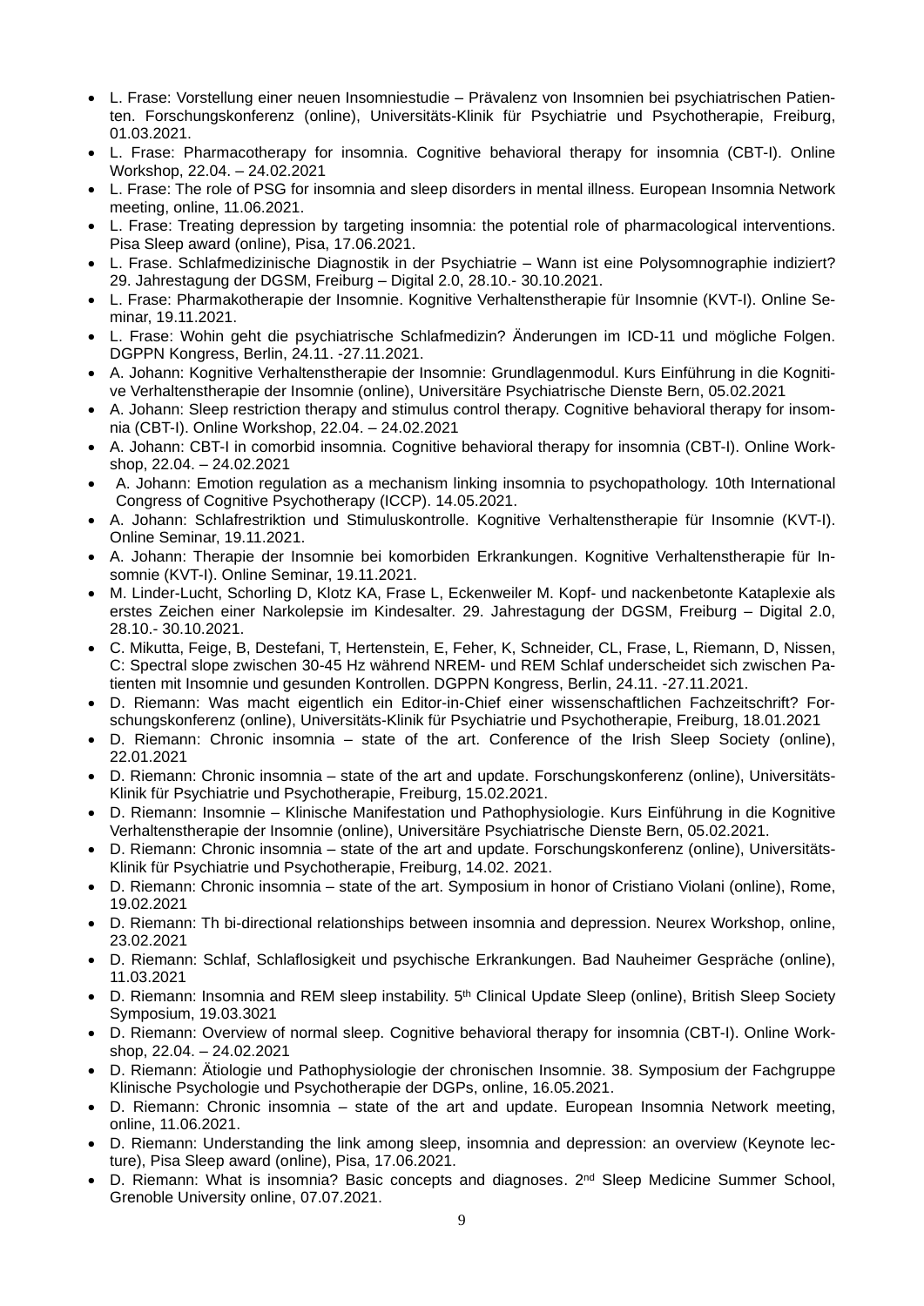- L. Frase: Vorstellung einer neuen Insomniestudie Prävalenz von Insomnien bei psychiatrischen Patienten. Forschungskonferenz (online), Universitäts-Klinik für Psychiatrie und Psychotherapie, Freiburg, 01.03.2021.
- L. Frase: Pharmacotherapy for insomnia. Cognitive behavioral therapy for insomnia (CBT-I). Online Workshop, 22.04. – 24.02.2021
- L. Frase: The role of PSG for insomnia and sleep disorders in mental illness. European Insomnia Network meeting, online, 11.06.2021.
- L. Frase: Treating depression by targeting insomnia: the potential role of pharmacological interventions. Pisa Sleep award (online), Pisa, 17.06.2021.
- L. Frase. Schlafmedizinische Diagnostik in der Psychiatrie Wann ist eine Polysomnographie indiziert? 29. Jahrestagung der DGSM, Freiburg – Digital 2.0, 28.10.- 30.10.2021.
- L. Frase: Pharmakotherapie der Insomnie. Kognitive Verhaltenstherapie für Insomnie (KVT-I). Online Seminar, 19.11.2021.
- L. Frase: Wohin geht die psychiatrische Schlafmedizin? Änderungen im ICD-11 und mögliche Folgen. DGPPN Kongress, Berlin, 24.11. -27.11.2021.
- A. Johann: Kognitive Verhaltenstherapie der Insomnie: Grundlagenmodul. Kurs Einführung in die Kognitive Verhaltenstherapie der Insomnie (online), Universitäre Psychiatrische Dienste Bern, 05.02.2021
- A. Johann: Sleep restriction therapy and stimulus control therapy. Cognitive behavioral therapy for insomnia (CBT-I). Online Workshop, 22.04. – 24.02.2021
- A. Johann: CBT-I in comorbid insomnia. Cognitive behavioral therapy for insomnia (CBT-I). Online Workshop, 22.04. – 24.02.2021
- A. Johann: Emotion regulation as a mechanism linking insomnia to psychopathology. 10th International Congress of Cognitive Psychotherapy (ICCP). 14.05.2021.
- A. Johann: Schlafrestriktion und Stimuluskontrolle. Kognitive Verhaltenstherapie für Insomnie (KVT-I). Online Seminar, 19.11.2021.
- A. Johann: Therapie der Insomnie bei komorbiden Erkrankungen. Kognitive Verhaltenstherapie für Insomnie (KVT-I). Online Seminar, 19.11.2021.
- M. Linder-Lucht, Schorling D, Klotz KA, Frase L, Eckenweiler M. Kopf- und nackenbetonte Kataplexie als erstes Zeichen einer Narkolepsie im Kindesalter. 29. Jahrestagung der DGSM, Freiburg – Digital 2.0, 28.10.- 30.10.2021.
- C. Mikutta, Feige, B, Destefani, T, Hertenstein, E, Feher, K, Schneider, CL, Frase, L, Riemann, D, Nissen, C: Spectral slope zwischen 30-45 Hz während NREM- und REM Schlaf underscheidet sich zwischen Patienten mit Insomnie und gesunden Kontrollen. DGPPN Kongress, Berlin, 24.11. -27.11.2021.
- D. Riemann: Was macht eigentlich ein Editor-in-Chief einer wissenschaftlichen Fachzeitschrift? Forschungskonferenz (online), Universitäts-Klinik für Psychiatrie und Psychotherapie, Freiburg, 18.01.2021
- D. Riemann: Chronic insomnia state of the art. Conference of the Irish Sleep Society (online), 22.01.2021
- D. Riemann: Chronic insomnia state of the art and update. Forschungskonferenz (online), Universitäts-Klinik für Psychiatrie und Psychotherapie, Freiburg, 15.02.2021.
- D. Riemann: Insomnie Klinische Manifestation und Pathophysiologie. Kurs Einführung in die Kognitive Verhaltenstherapie der Insomnie (online), Universitäre Psychiatrische Dienste Bern, 05.02.2021.
- D. Riemann: Chronic insomnia state of the art and update. Forschungskonferenz (online), Universitäts-Klinik für Psychiatrie und Psychotherapie, Freiburg, 14.02. 2021.
- D. Riemann: Chronic insomnia state of the art. Symposium in honor of Cristiano Violani (online), Rome, 19.02.2021
- D. Riemann: Th bi-directional relationships between insomnia and depression. Neurex Workshop, online, 23.02.2021
- D. Riemann: Schlaf, Schlaflosigkeit und psychische Erkrankungen. Bad Nauheimer Gespräche (online), 11.03.2021
- D. Riemann: Insomnia and REM sleep instability. 5<sup>th</sup> Clinical Update Sleep (online), British Sleep Society Symposium, 19.03.3021
- D. Riemann: Overview of normal sleep. Cognitive behavioral therapy for insomnia (CBT-I). Online Workshop, 22.04. – 24.02.2021
- D. Riemann: Ätiologie und Pathophysiologie der chronischen Insomnie. 38. Symposium der Fachgruppe Klinische Psychologie und Psychotherapie der DGPs, online, 16.05.2021.
- D. Riemann: Chronic insomnia state of the art and update. European Insomnia Network meeting, online, 11.06.2021.
- D. Riemann: Understanding the link among sleep, insomnia and depression: an overview (Keynote lecture), Pisa Sleep award (online), Pisa, 17.06.2021.
- D. Riemann: What is insomnia? Basic concepts and diagnoses. 2<sup>nd</sup> Sleep Medicine Summer School, Grenoble University online, 07.07.2021.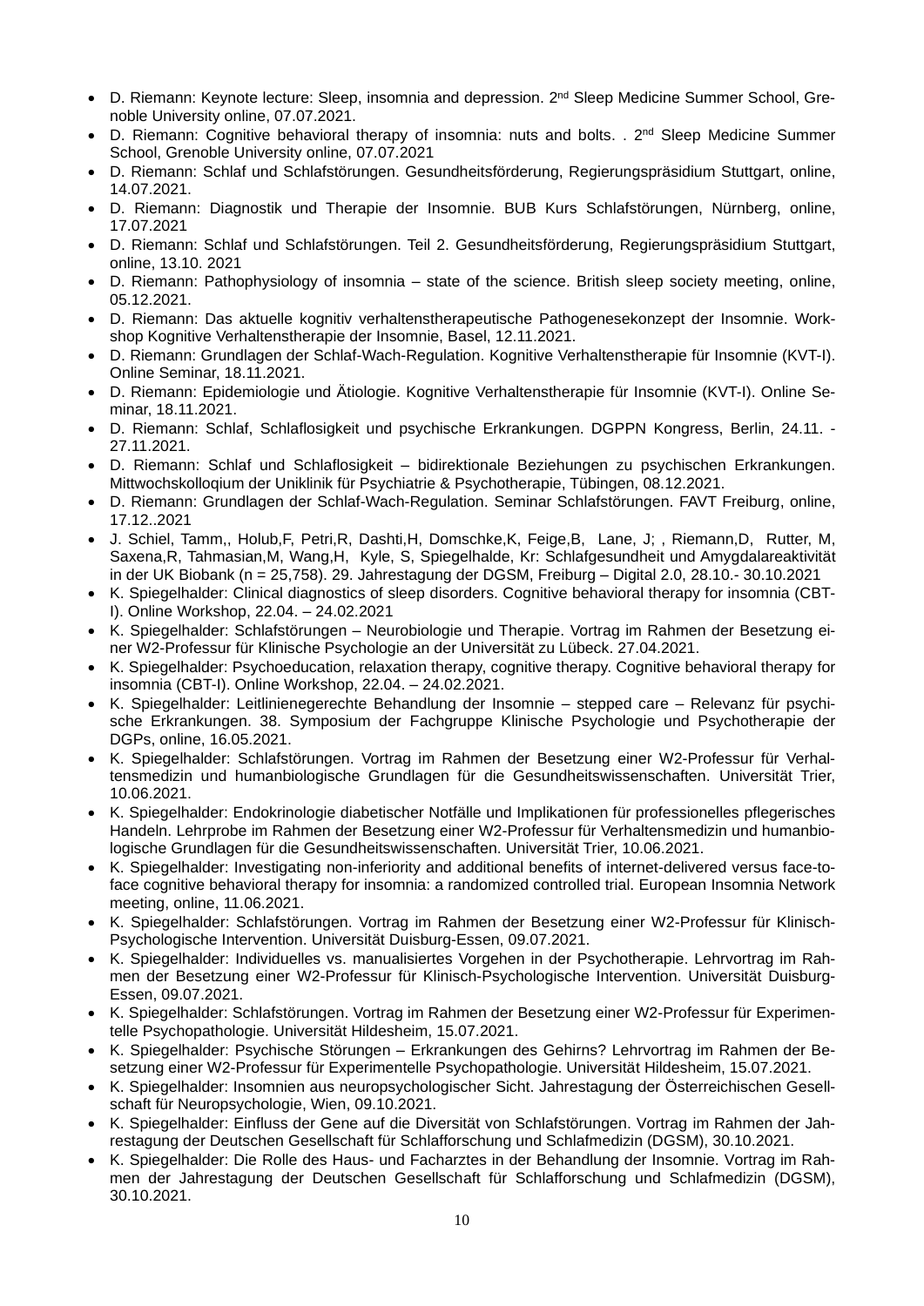- D. Riemann: Keynote lecture: Sleep, insomnia and depression. 2<sup>nd</sup> Sleep Medicine Summer School, Grenoble University online, 07.07.2021.
- D. Riemann: Cognitive behavioral therapy of insomnia: nuts and bolts. . 2<sup>nd</sup> Sleep Medicine Summer School, Grenoble University online, 07.07.2021
- D. Riemann: Schlaf und Schlafstörungen. Gesundheitsförderung, Regierungspräsidium Stuttgart, online, 14.07.2021.
- D. Riemann: Diagnostik und Therapie der Insomnie. BUB Kurs Schlafstörungen, Nürnberg, online, 17.07.2021
- D. Riemann: Schlaf und Schlafstörungen. Teil 2. Gesundheitsförderung, Regierungspräsidium Stuttgart, online, 13.10. 2021
- D. Riemann: Pathophysiology of insomnia state of the science. British sleep society meeting, online, 05.12.2021.
- D. Riemann: Das aktuelle kognitiv verhaltenstherapeutische Pathogenesekonzept der Insomnie. Workshop Kognitive Verhaltenstherapie der Insomnie, Basel, 12.11.2021.
- D. Riemann: Grundlagen der Schlaf-Wach-Regulation. Kognitive Verhaltenstherapie für Insomnie (KVT-I). Online Seminar, 18.11.2021.
- D. Riemann: Epidemiologie und Ätiologie. Kognitive Verhaltenstherapie für Insomnie (KVT-I). Online Seminar, 18.11.2021.
- D. Riemann: Schlaf, Schlaflosigkeit und psychische Erkrankungen. DGPPN Kongress, Berlin, 24.11. 27.11.2021.
- D. Riemann: Schlaf und Schlaflosigkeit bidirektionale Beziehungen zu psychischen Erkrankungen. Mittwochskolloqium der Uniklinik für Psychiatrie & Psychotherapie, Tübingen, 08.12.2021.
- D. Riemann: Grundlagen der Schlaf-Wach-Regulation. Seminar Schlafstörungen. FAVT Freiburg, online, 17.12..2021
- J. Schiel, Tamm,, Holub,F, Petri,R, Dashti,H, Domschke,K, Feige,B, Lane, J; , Riemann,D, Rutter, M, Saxena,R, Tahmasian,M, Wang,H, Kyle, S, Spiegelhalde, Kr: Schlafgesundheit und Amygdalareaktivität in der UK Biobank (n = 25,758). 29. Jahrestagung der DGSM, Freiburg – Digital 2.0, 28.10.- 30.10.2021
- K. Spiegelhalder: Clinical diagnostics of sleep disorders. Cognitive behavioral therapy for insomnia (CBT-I). Online Workshop, 22.04. – 24.02.2021
- K. Spiegelhalder: Schlafstörungen Neurobiologie und Therapie. Vortrag im Rahmen der Besetzung einer W2-Professur für Klinische Psychologie an der Universität zu Lübeck. 27.04.2021.
- K. Spiegelhalder: Psychoeducation, relaxation therapy, cognitive therapy. Cognitive behavioral therapy for insomnia (CBT-I). Online Workshop, 22.04. – 24.02.2021.
- K. Spiegelhalder: Leitlinienegerechte Behandlung der Insomnie stepped care Relevanz für psychische Erkrankungen. 38. Symposium der Fachgruppe Klinische Psychologie und Psychotherapie der DGPs, online, 16.05.2021.
- K. Spiegelhalder: Schlafstörungen. Vortrag im Rahmen der Besetzung einer W2-Professur für Verhaltensmedizin und humanbiologische Grundlagen für die Gesundheitswissenschaften. Universität Trier, 10.06.2021.
- K. Spiegelhalder: Endokrinologie diabetischer Notfälle und Implikationen für professionelles pflegerisches Handeln. Lehrprobe im Rahmen der Besetzung einer W2-Professur für Verhaltensmedizin und humanbiologische Grundlagen für die Gesundheitswissenschaften. Universität Trier, 10.06.2021.
- K. Spiegelhalder: Investigating non-inferiority and additional benefits of internet-delivered versus face-toface cognitive behavioral therapy for insomnia: a randomized controlled trial. European Insomnia Network meeting, online, 11.06.2021.
- K. Spiegelhalder: Schlafstörungen. Vortrag im Rahmen der Besetzung einer W2-Professur für Klinisch-Psychologische Intervention. Universität Duisburg-Essen, 09.07.2021.
- K. Spiegelhalder: Individuelles vs. manualisiertes Vorgehen in der Psychotherapie. Lehrvortrag im Rahmen der Besetzung einer W2-Professur für Klinisch-Psychologische Intervention. Universität Duisburg-Essen, 09.07.2021.
- K. Spiegelhalder: Schlafstörungen. Vortrag im Rahmen der Besetzung einer W2-Professur für Experimentelle Psychopathologie. Universität Hildesheim, 15.07.2021.
- K. Spiegelhalder: Psychische Störungen Erkrankungen des Gehirns? Lehrvortrag im Rahmen der Besetzung einer W2-Professur für Experimentelle Psychopathologie. Universität Hildesheim, 15.07.2021.
- K. Spiegelhalder: Insomnien aus neuropsychologischer Sicht. Jahrestagung der Österreichischen Gesellschaft für Neuropsychologie, Wien, 09.10.2021.
- K. Spiegelhalder: Einfluss der Gene auf die Diversität von Schlafstörungen. Vortrag im Rahmen der Jahrestagung der Deutschen Gesellschaft für Schlafforschung und Schlafmedizin (DGSM), 30.10.2021.
- K. Spiegelhalder: Die Rolle des Haus- und Facharztes in der Behandlung der Insomnie. Vortrag im Rahmen der Jahrestagung der Deutschen Gesellschaft für Schlafforschung und Schlafmedizin (DGSM), 30.10.2021.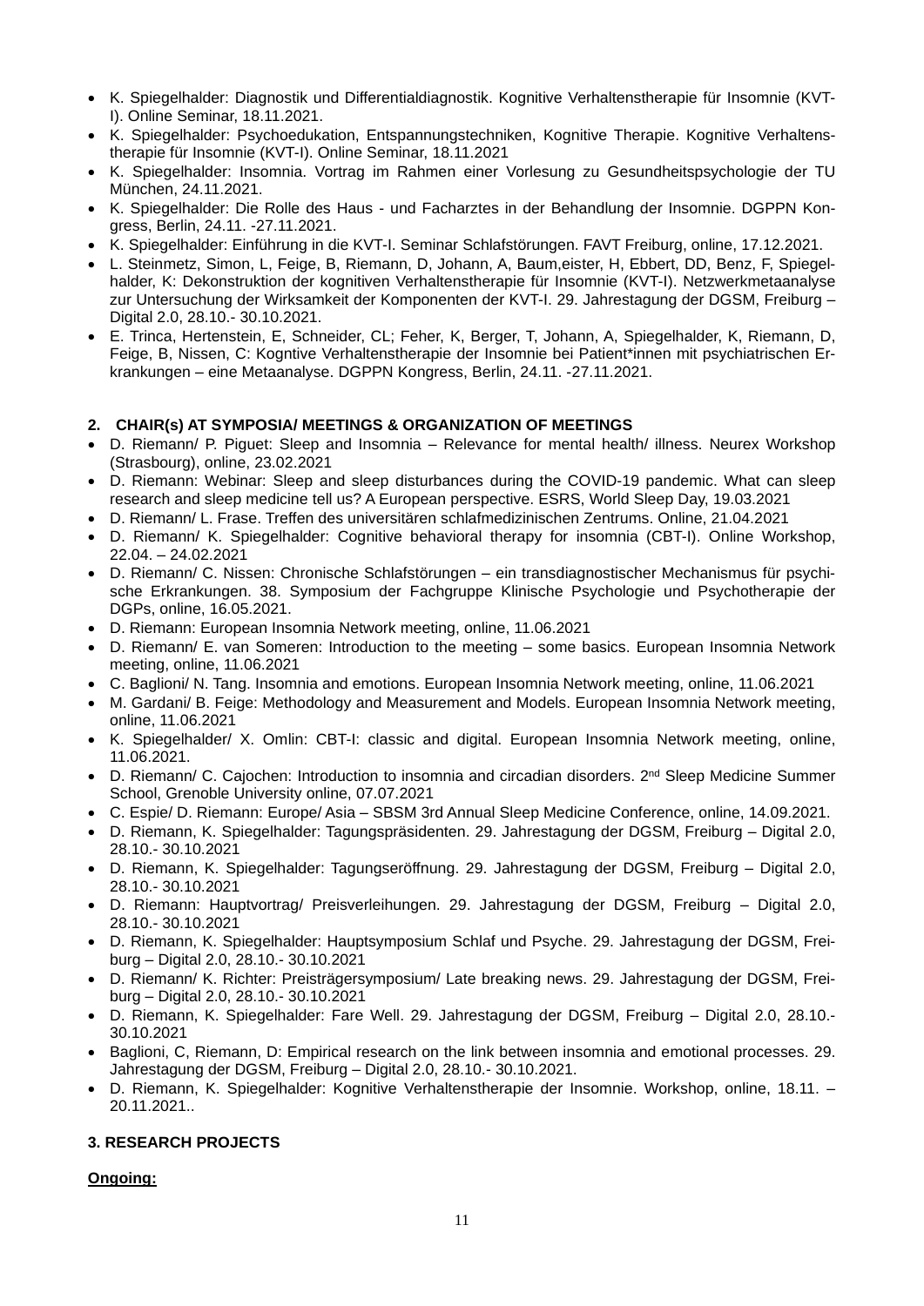- K. Spiegelhalder: Diagnostik und Differentialdiagnostik. Kognitive Verhaltenstherapie für Insomnie (KVT-I). Online Seminar, 18.11.2021.
- K. Spiegelhalder: Psychoedukation, Entspannungstechniken, Kognitive Therapie. Kognitive Verhaltenstherapie für Insomnie (KVT-I). Online Seminar, 18.11.2021
- K. Spiegelhalder: Insomnia. Vortrag im Rahmen einer Vorlesung zu Gesundheitspsychologie der TU München, 24.11.2021.
- K. Spiegelhalder: Die Rolle des Haus und Facharztes in der Behandlung der Insomnie. DGPPN Kongress, Berlin, 24.11. -27.11.2021.
- K. Spiegelhalder: Einführung in die KVT-I. Seminar Schlafstörungen. FAVT Freiburg, online, 17.12.2021.
- L. Steinmetz, Simon, L, Feige, B, Riemann, D, Johann, A, Baum,eister, H, Ebbert, DD, Benz, F, Spiegelhalder, K: Dekonstruktion der kognitiven Verhaltenstherapie für Insomnie (KVT-I). Netzwerkmetaanalyse zur Untersuchung der Wirksamkeit der Komponenten der KVT-I. 29. Jahrestagung der DGSM, Freiburg – Digital 2.0, 28.10.- 30.10.2021.
- E. Trinca, Hertenstein, E, Schneider, CL; Feher, K, Berger, T, Johann, A, Spiegelhalder, K, Riemann, D, Feige, B, Nissen, C: Kogntive Verhaltenstherapie der Insomnie bei Patient\*innen mit psychiatrischen Erkrankungen – eine Metaanalyse. DGPPN Kongress, Berlin, 24.11. -27.11.2021.

#### **2. CHAIR(s) AT SYMPOSIA/ MEETINGS & ORGANIZATION OF MEETINGS**

- D. Riemann/ P. Piguet: Sleep and Insomnia Relevance for mental health/ illness. Neurex Workshop (Strasbourg), online, 23.02.2021
- D. Riemann: Webinar: Sleep and sleep disturbances during the COVID-19 pandemic. What can sleep research and sleep medicine tell us? A European perspective. ESRS, World Sleep Day, 19.03.2021
- D. Riemann/ L. Frase. Treffen des universitären schlafmedizinischen Zentrums. Online, 21.04.2021
- D. Riemann/ K. Spiegelhalder: Cognitive behavioral therapy for insomnia (CBT-I). Online Workshop, 22.04. – 24.02.2021
- D. Riemann/ C. Nissen: Chronische Schlafstörungen ein transdiagnostischer Mechanismus für psychische Erkrankungen. 38. Symposium der Fachgruppe Klinische Psychologie und Psychotherapie der DGPs, online, 16.05.2021.
- D. Riemann: European Insomnia Network meeting, online, 11.06.2021
- D. Riemann/ E. van Someren: Introduction to the meeting some basics. European Insomnia Network meeting, online, 11.06.2021
- C. Baglioni/ N. Tang. Insomnia and emotions. European Insomnia Network meeting, online, 11.06.2021
- M. Gardani/ B. Feige: Methodology and Measurement and Models. European Insomnia Network meeting, online, 11.06.2021
- K. Spiegelhalder/ X. Omlin: CBT-I: classic and digital. European Insomnia Network meeting, online, 11.06.2021.
- D. Riemann/ C. Cajochen: Introduction to insomnia and circadian disorders. 2<sup>nd</sup> Sleep Medicine Summer School, Grenoble University online, 07.07.2021
- C. Espie/ D. Riemann: Europe/ Asia SBSM 3rd Annual Sleep Medicine Conference, online, 14.09.2021.
- D. Riemann, K. Spiegelhalder: Tagungspräsidenten. 29. Jahrestagung der DGSM, Freiburg Digital 2.0, 28.10.- 30.10.2021
- D. Riemann, K. Spiegelhalder: Tagungseröffnung. 29. Jahrestagung der DGSM, Freiburg Digital 2.0, 28.10.- 30.10.2021
- D. Riemann: Hauptvortrag/ Preisverleihungen. 29. Jahrestagung der DGSM, Freiburg Digital 2.0, 28.10.- 30.10.2021
- D. Riemann, K. Spiegelhalder: Hauptsymposium Schlaf und Psyche. 29. Jahrestagung der DGSM, Freiburg – Digital 2.0, 28.10.- 30.10.2021
- D. Riemann/ K. Richter: Preisträgersymposium/ Late breaking news. 29. Jahrestagung der DGSM, Freiburg – Digital 2.0, 28.10.- 30.10.2021
- D. Riemann, K. Spiegelhalder: Fare Well. 29. Jahrestagung der DGSM, Freiburg Digital 2.0, 28.10.- 30.10.2021
- Baglioni, C, Riemann, D: Empirical research on the link between insomnia and emotional processes. 29. Jahrestagung der DGSM, Freiburg – Digital 2.0, 28.10.- 30.10.2021.
- D. Riemann, K. Spiegelhalder: Kognitive Verhaltenstherapie der Insomnie. Workshop, online, 18.11. 20.11.2021..

#### **3. RESEARCH PROJECTS**

### **Ongoing:**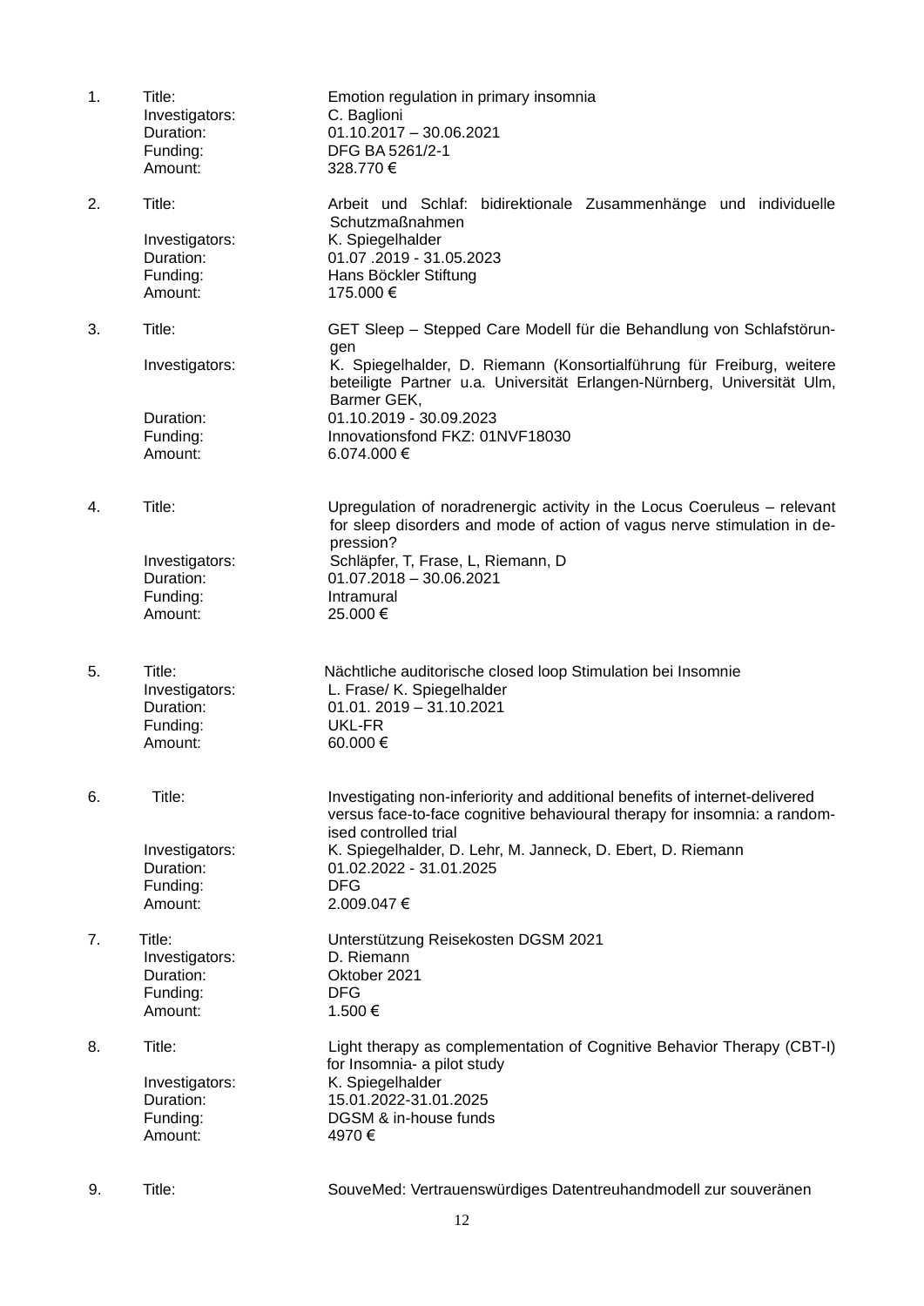| 1. | Title:<br>Investigators:<br>Duration:<br>Funding:<br>Amount: | Emotion regulation in primary insomnia<br>C. Baglioni<br>$01.10.2017 - 30.06.2021$<br>DFG BA 5261/2-1<br>328.770€                                                                                                                                                                                                           |
|----|--------------------------------------------------------------|-----------------------------------------------------------------------------------------------------------------------------------------------------------------------------------------------------------------------------------------------------------------------------------------------------------------------------|
| 2. | Title:<br>Investigators:<br>Duration:<br>Funding:<br>Amount: | Arbeit und Schlaf: bidirektionale Zusammenhänge und individuelle<br>Schutzmaßnahmen<br>K. Spiegelhalder<br>01.07.2019 - 31.05.2023<br>Hans Böckler Stiftung<br>175.000 €                                                                                                                                                    |
| 3. | Title:<br>Investigators:<br>Duration:<br>Funding:<br>Amount: | GET Sleep - Stepped Care Modell für die Behandlung von Schlafstörun-<br>gen<br>K. Spiegelhalder, D. Riemann (Konsortialführung für Freiburg, weitere<br>beteiligte Partner u.a. Universität Erlangen-Nürnberg, Universität Ulm,<br>Barmer GEK,<br>01.10.2019 - 30.09.2023<br>Innovationsfond FKZ: 01NVF18030<br>6.074.000 € |
| 4. | Title:<br>Investigators:<br>Duration:<br>Funding:<br>Amount: | Upregulation of noradrenergic activity in the Locus Coeruleus - relevant<br>for sleep disorders and mode of action of vagus nerve stimulation in de-<br>pression?<br>Schläpfer, T, Frase, L, Riemann, D<br>$01.07.2018 - 30.06.2021$<br>Intramural<br>25.000€                                                               |
| 5. | Title:<br>Investigators:<br>Duration:<br>Funding:<br>Amount: | Nächtliche auditorische closed loop Stimulation bei Insomnie<br>L. Frase/ K. Spiegelhalder<br>$01.01.2019 - 31.10.2021$<br>UKL-FR<br>60.000€                                                                                                                                                                                |
| 6. | Title:<br>Investigators:<br>Duration:<br>Funding:<br>Amount: | Investigating non-inferiority and additional benefits of internet-delivered<br>versus face-to-face cognitive behavioural therapy for insomnia: a random-<br>ised controlled trial<br>K. Spiegelhalder, D. Lehr, M. Janneck, D. Ebert, D. Riemann<br>01.02.2022 - 31.01.2025<br><b>DFG</b><br>2.009.047€                     |
| 7. | Title:<br>Investigators:<br>Duration:<br>Funding:<br>Amount: | Unterstützung Reisekosten DGSM 2021<br>D. Riemann<br>Oktober 2021<br><b>DFG</b><br>1.500€                                                                                                                                                                                                                                   |
| 8. | Title:<br>Investigators:<br>Duration:<br>Funding:<br>Amount: | Light therapy as complementation of Cognitive Behavior Therapy (CBT-I)<br>for Insomnia- a pilot study<br>K. Spiegelhalder<br>15.01.2022-31.01.2025<br>DGSM & in-house funds<br>4970€                                                                                                                                        |
| 9. | Title:                                                       | SouveMed: Vertrauenswürdiges Datentreuhandmodell zur souveränen                                                                                                                                                                                                                                                             |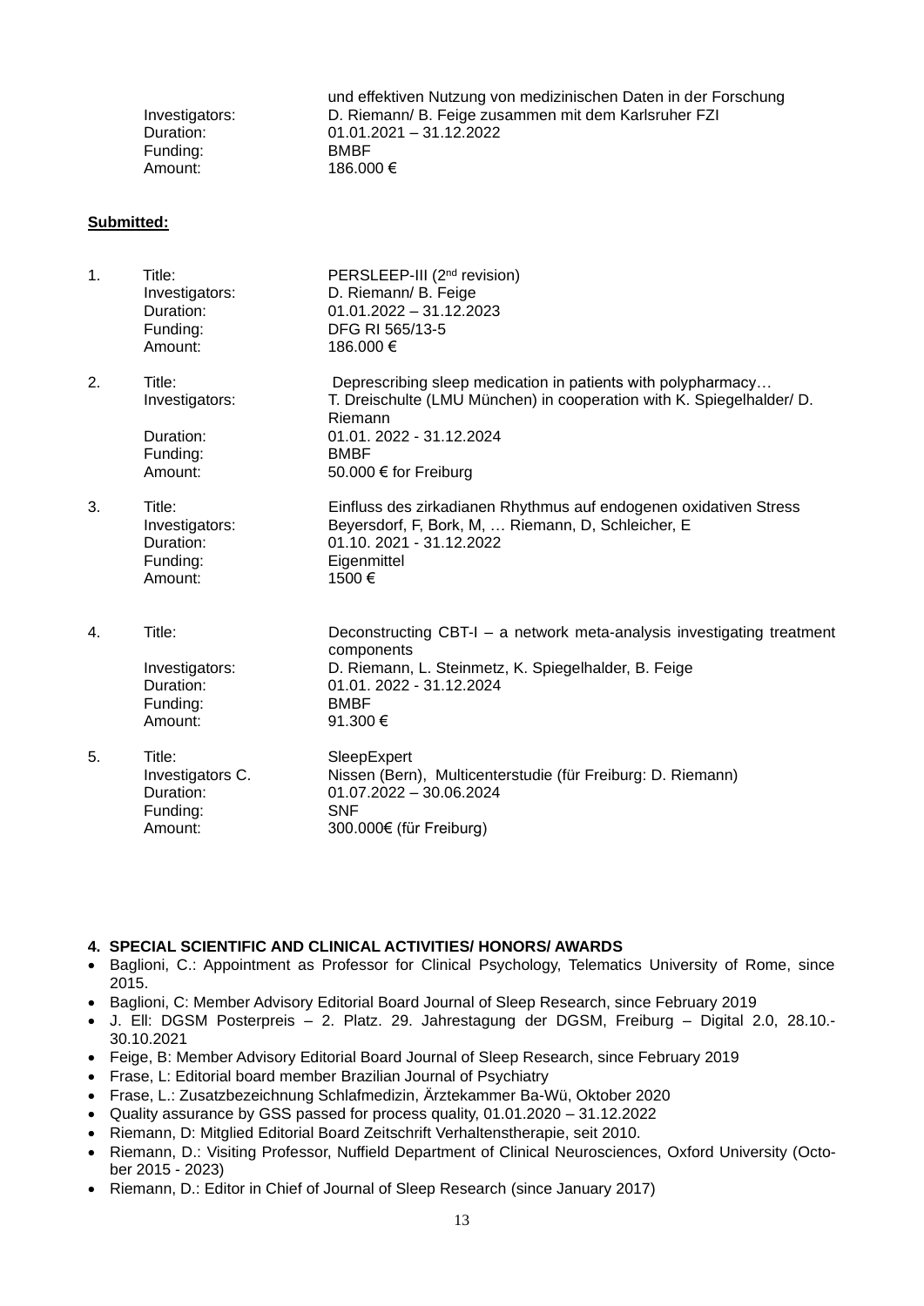| Investigators:<br>Duration:<br>$01.01.2021 - 31.12.2022$<br>Funding:<br><b>BMBF</b><br>186.000 €<br>Amount: |  | und effektiven Nutzung von medizinischen Daten in der Forschung<br>D. Riemann/ B. Feige zusammen mit dem Karlsruher FZI |
|-------------------------------------------------------------------------------------------------------------|--|-------------------------------------------------------------------------------------------------------------------------|
|-------------------------------------------------------------------------------------------------------------|--|-------------------------------------------------------------------------------------------------------------------------|

#### **Submitted:**

| 1. | Title:<br>Investigators:<br>Duration:<br>Funding:<br>Amount:   | PERSLEEP-III (2 <sup>nd</sup> revision)<br>D. Riemann/ B. Feige<br>$01.01.2022 - 31.12.2023$<br>DFG RI 565/13-5<br>186.000 €                                                                                        |
|----|----------------------------------------------------------------|---------------------------------------------------------------------------------------------------------------------------------------------------------------------------------------------------------------------|
| 2. | Title:<br>Investigators:<br>Duration:<br>Funding:<br>Amount:   | Deprescribing sleep medication in patients with polypharmacy<br>T. Dreischulte (LMU München) in cooperation with K. Spiegelhalder/ D.<br>Riemann<br>01.01.2022 - 31.12.2024<br><b>BMBF</b><br>50.000 € for Freiburg |
| 3. | Title:<br>Investigators:<br>Duration:<br>Funding:<br>Amount:   | Einfluss des zirkadianen Rhythmus auf endogenen oxidativen Stress<br>Beyersdorf, F, Bork, M,  Riemann, D, Schleicher, E<br>01.10. 2021 - 31.12.2022<br>Eigenmittel<br>1500€                                         |
| 4. | Title:<br>Investigators:<br>Duration:<br>Funding:<br>Amount:   | Deconstructing CBT-I - a network meta-analysis investigating treatment<br>components<br>D. Riemann, L. Steinmetz, K. Spiegelhalder, B. Feige<br>01.01.2022 - 31.12.2024<br><b>BMBF</b><br>91.300 €                  |
| 5. | Title:<br>Investigators C.<br>Duration:<br>Funding:<br>Amount: | SleepExpert<br>Nissen (Bern), Multicenterstudie (für Freiburg: D. Riemann)<br>$01.07.2022 - 30.06.2024$<br><b>SNF</b><br>300.000€ (für Freiburg)                                                                    |

### **4. SPECIAL SCIENTIFIC AND CLINICAL ACTIVITIES/ HONORS/ AWARDS**

- Baglioni, C.: Appointment as Professor for Clinical Psychology, Telematics University of Rome, since 2015.
- Baglioni, C: Member Advisory Editorial Board Journal of Sleep Research, since February 2019
- J. Ell: DGSM Posterpreis 2. Platz. 29. Jahrestagung der DGSM, Freiburg Digital 2.0, 28.10.- 30.10.2021
- Feige, B: Member Advisory Editorial Board Journal of Sleep Research, since February 2019
- Frase, L: Editorial board member Brazilian Journal of Psychiatry
- Frase, L.: Zusatzbezeichnung Schlafmedizin, Ärztekammer Ba-Wü, Oktober 2020
- Quality assurance by GSS passed for process quality, 01.01.2020 31.12.2022
	- Riemann, D: Mitglied Editorial Board Zeitschrift Verhaltenstherapie, seit 2010.
	- Riemann, D.: Visiting Professor, Nuffield Department of Clinical Neurosciences, Oxford University (October 2015 - 2023)
	- Riemann, D.: Editor in Chief of Journal of Sleep Research (since January 2017)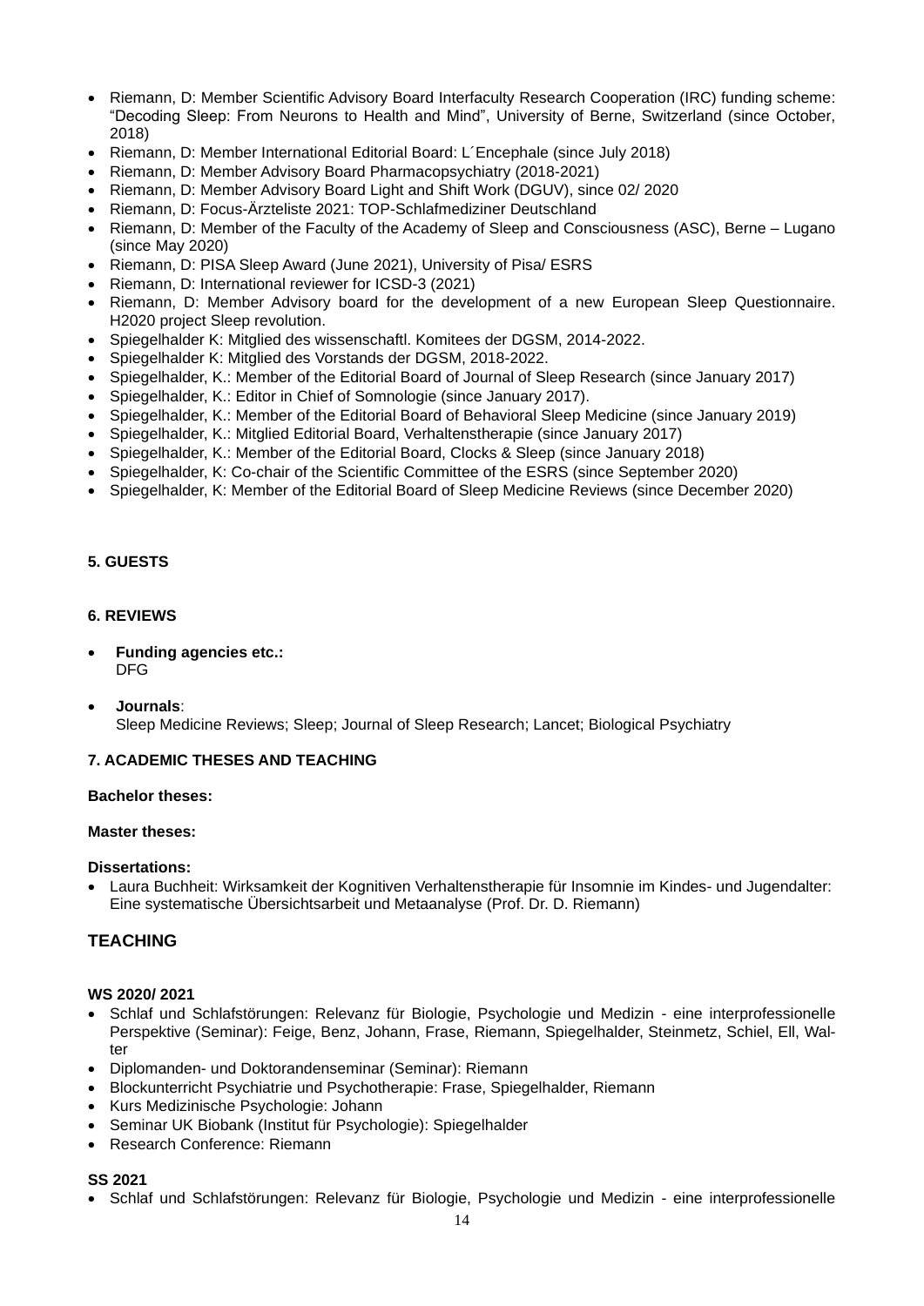- Riemann, D: Member Scientific Advisory Board Interfaculty Research Cooperation (IRC) funding scheme: "Decoding Sleep: From Neurons to Health and Mind", University of Berne, Switzerland (since October, 2018)
- Riemann, D: Member International Editorial Board: L'Encephale (since July 2018)
- Riemann, D: Member Advisory Board Pharmacopsychiatry (2018-2021)
- Riemann, D: Member Advisory Board Light and Shift Work (DGUV), since 02/ 2020
- Riemann, D: Focus-Ärzteliste 2021: TOP-Schlafmediziner Deutschland
- Riemann, D: Member of the Faculty of the Academy of Sleep and Consciousness (ASC), Berne Lugano (since May 2020)
- Riemann, D: PISA Sleep Award (June 2021), University of Pisa/ ESRS
- Riemann, D: International reviewer for ICSD-3 (2021)
- Riemann, D: Member Advisory board for the development of a new European Sleep Questionnaire. H2020 project Sleep revolution.
- Spiegelhalder K: Mitglied des wissenschaftl. Komitees der DGSM, 2014-2022.
- Spiegelhalder K: Mitglied des Vorstands der DGSM, 2018-2022.
- Spiegelhalder, K.: Member of the Editorial Board of Journal of Sleep Research (since January 2017)
- Spiegelhalder, K.: Editor in Chief of Somnologie (since January 2017).
- Spiegelhalder, K.: Member of the Editorial Board of Behavioral Sleep Medicine (since January 2019)
- Spiegelhalder, K.: Mitglied Editorial Board, Verhaltenstherapie (since January 2017)
- Spiegelhalder, K.: Member of the Editorial Board, Clocks & Sleep (since January 2018)
- Spiegelhalder, K: Co-chair of the Scientific Committee of the ESRS (since September 2020)
- Spiegelhalder, K: Member of the Editorial Board of Sleep Medicine Reviews (since December 2020)

### **5. GUESTS**

#### **6. REVIEWS**

- **Funding agencies etc.:**  DFG
- **Journals**: Sleep Medicine Reviews; Sleep; Journal of Sleep Research; Lancet; Biological Psychiatry

### **7. ACADEMIC THESES AND TEACHING**

### **Bachelor theses:**

### **Master theses:**

### **Dissertations:**

• Laura Buchheit: Wirksamkeit der Kognitiven Verhaltenstherapie für Insomnie im Kindes- und Jugendalter: Eine systematische Übersichtsarbeit und Metaanalyse (Prof. Dr. D. Riemann)

# **TEACHING**

### **WS 2020/ 2021**

- Schlaf und Schlafstörungen: Relevanz für Biologie, Psychologie und Medizin eine interprofessionelle Perspektive (Seminar): Feige, Benz, Johann, Frase, Riemann, Spiegelhalder, Steinmetz, Schiel, Ell, Walter
- Diplomanden- und Doktorandenseminar (Seminar): Riemann
- Blockunterricht Psychiatrie und Psychotherapie: Frase, Spiegelhalder, Riemann
- Kurs Medizinische Psychologie: Johann
- Seminar UK Biobank (Institut für Psychologie): Spiegelhalder
- Research Conference: Riemann

### **SS 2021**

• Schlaf und Schlafstörungen: Relevanz für Biologie, Psychologie und Medizin - eine interprofessionelle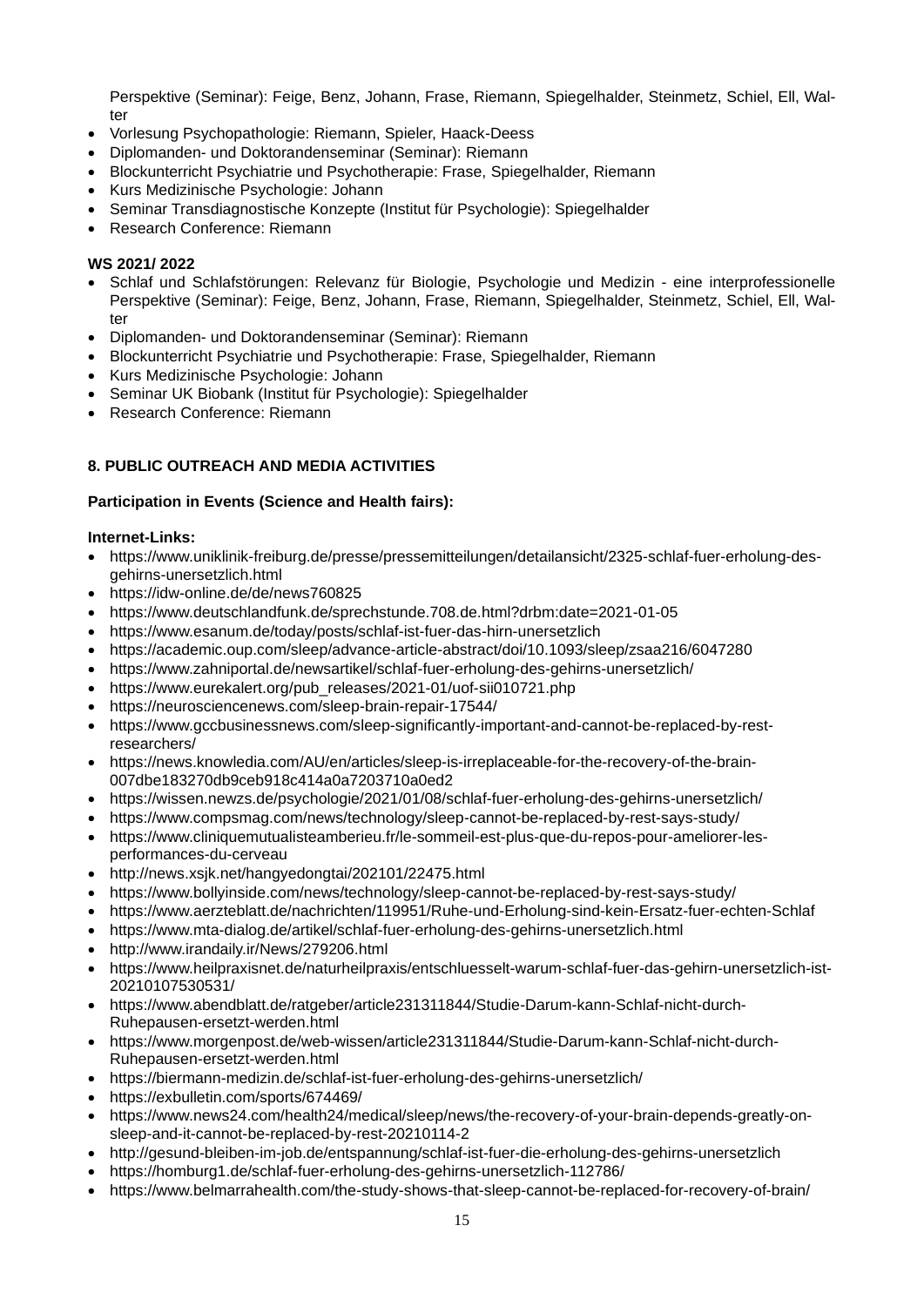Perspektive (Seminar): Feige, Benz, Johann, Frase, Riemann, Spiegelhalder, Steinmetz, Schiel, Ell, Walter

- Vorlesung Psychopathologie: Riemann, Spieler, Haack-Deess
- Diplomanden- und Doktorandenseminar (Seminar): Riemann
- Blockunterricht Psychiatrie und Psychotherapie: Frase, Spiegelhalder, Riemann
- Kurs Medizinische Psychologie: Johann
- Seminar Transdiagnostische Konzepte (Institut für Psychologie): Spiegelhalder
- Research Conference: Riemann

### **WS 2021/ 2022**

- Schlaf und Schlafstörungen: Relevanz für Biologie, Psychologie und Medizin eine interprofessionelle Perspektive (Seminar): Feige, Benz, Johann, Frase, Riemann, Spiegelhalder, Steinmetz, Schiel, Ell, Walter
- Diplomanden- und Doktorandenseminar (Seminar): Riemann
- Blockunterricht Psychiatrie und Psychotherapie: Frase, Spiegelhalder, Riemann
- Kurs Medizinische Psychologie: Johann
- Seminar UK Biobank (Institut für Psychologie): Spiegelhalder
- Research Conference: Riemann

# **8. PUBLIC OUTREACH AND MEDIA ACTIVITIES**

### **Participation in Events (Science and Health fairs):**

### **Internet-Links:**

- [https://www.uniklinik-freiburg.de/presse/pressemitteilungen/detailansicht/2325-schlaf-fuer-erholung-des](https://www.uniklinik-freiburg.de/presse/pressemitteilungen/detailansicht/2325-schlaf-fuer-erholung-des-gehirns-unersetzlich.html)[gehirns-unersetzlich.html](https://www.uniklinik-freiburg.de/presse/pressemitteilungen/detailansicht/2325-schlaf-fuer-erholung-des-gehirns-unersetzlich.html)
- https://idw-online.de/de/news760825
- <https://www.deutschlandfunk.de/sprechstunde.708.de.html?drbm:date=2021-01-05>
- <https://www.esanum.de/today/posts/schlaf-ist-fuer-das-hirn-unersetzlich>
- <https://academic.oup.com/sleep/advance-article-abstract/doi/10.1093/sleep/zsaa216/6047280>
- <https://www.zahniportal.de/newsartikel/schlaf-fuer-erholung-des-gehirns-unersetzlich/>
- [https://www.eurekalert.org/pub\\_releases/2021-01/uof-sii010721.php](https://www.eurekalert.org/pub_releases/2021-01/uof-sii010721.php)
- <https://neurosciencenews.com/sleep-brain-repair-17544/>
- [https://www.gccbusinessnews.com/sleep-significantly-important-and-cannot-be-replaced-by-rest](https://www.gccbusinessnews.com/sleep-significantly-important-and-cannot-be-replaced-by-rest-researchers/)[researchers/](https://www.gccbusinessnews.com/sleep-significantly-important-and-cannot-be-replaced-by-rest-researchers/)
- [https://news.knowledia.com/AU/en/articles/sleep-is-irreplaceable-for-the-recovery-of-the-brain-](https://news.knowledia.com/AU/en/articles/sleep-is-irreplaceable-for-the-recovery-of-the-brain-007dbe183270db9ceb918c414a0a7203710a0ed2)[007dbe183270db9ceb918c414a0a7203710a0ed2](https://news.knowledia.com/AU/en/articles/sleep-is-irreplaceable-for-the-recovery-of-the-brain-007dbe183270db9ceb918c414a0a7203710a0ed2)
- <https://wissen.newzs.de/psychologie/2021/01/08/schlaf-fuer-erholung-des-gehirns-unersetzlich/>
- <https://www.compsmag.com/news/technology/sleep-cannot-be-replaced-by-rest-says-study/>
- [https://www.cliniquemutualisteamberieu.fr/le-sommeil-est-plus-que-du-repos-pour-ameliorer-les](https://www.cliniquemutualisteamberieu.fr/le-sommeil-est-plus-que-du-repos-pour-ameliorer-les-performances-du-cerveau)[performances-du-cerveau](https://www.cliniquemutualisteamberieu.fr/le-sommeil-est-plus-que-du-repos-pour-ameliorer-les-performances-du-cerveau)
- <http://news.xsjk.net/hangyedongtai/202101/22475.html>
- <https://www.bollyinside.com/news/technology/sleep-cannot-be-replaced-by-rest-says-study/>
- <https://www.aerzteblatt.de/nachrichten/119951/Ruhe-und-Erholung-sind-kein-Ersatz-fuer-echten-Schlaf>
- <https://www.mta-dialog.de/artikel/schlaf-fuer-erholung-des-gehirns-unersetzlich.html>
- <http://www.irandaily.ir/News/279206.html>
- [https://www.heilpraxisnet.de/naturheilpraxis/entschluesselt-warum-schlaf-fuer-das-gehirn-unersetzlich-ist-](https://www.heilpraxisnet.de/naturheilpraxis/entschluesselt-warum-schlaf-fuer-das-gehirn-unersetzlich-ist-20210107530531/)[20210107530531/](https://www.heilpraxisnet.de/naturheilpraxis/entschluesselt-warum-schlaf-fuer-das-gehirn-unersetzlich-ist-20210107530531/)
- [https://www.abendblatt.de/ratgeber/article231311844/Studie-Darum-kann-Schlaf-nicht-durch-](https://www.abendblatt.de/ratgeber/article231311844/Studie-Darum-kann-Schlaf-nicht-durch-Ruhepausen-ersetzt-werden.html)[Ruhepausen-ersetzt-werden.html](https://www.abendblatt.de/ratgeber/article231311844/Studie-Darum-kann-Schlaf-nicht-durch-Ruhepausen-ersetzt-werden.html)
- [https://www.morgenpost.de/web-wissen/article231311844/Studie-Darum-kann-Schlaf-nicht-durch-](https://www.morgenpost.de/web-wissen/article231311844/Studie-Darum-kann-Schlaf-nicht-durch-Ruhepausen-ersetzt-werden.html)[Ruhepausen-ersetzt-werden.html](https://www.morgenpost.de/web-wissen/article231311844/Studie-Darum-kann-Schlaf-nicht-durch-Ruhepausen-ersetzt-werden.html)
- <https://biermann-medizin.de/schlaf-ist-fuer-erholung-des-gehirns-unersetzlich/>
- <https://exbulletin.com/sports/674469/>
- [https://www.news24.com/health24/medical/sleep/news/the-recovery-of-your-brain-depends-greatly-on](https://www.news24.com/health24/medical/sleep/news/the-recovery-of-your-brain-depends-greatly-on-sleep-and-it-cannot-be-replaced-by-rest-20210114-2)[sleep-and-it-cannot-be-replaced-by-rest-20210114-2](https://www.news24.com/health24/medical/sleep/news/the-recovery-of-your-brain-depends-greatly-on-sleep-and-it-cannot-be-replaced-by-rest-20210114-2)
- <http://gesund-bleiben-im-job.de/entspannung/schlaf-ist-fuer-die-erholung-des-gehirns-unersetzlich>
- <https://homburg1.de/schlaf-fuer-erholung-des-gehirns-unersetzlich-112786/>
- <https://www.belmarrahealth.com/the-study-shows-that-sleep-cannot-be-replaced-for-recovery-of-brain/>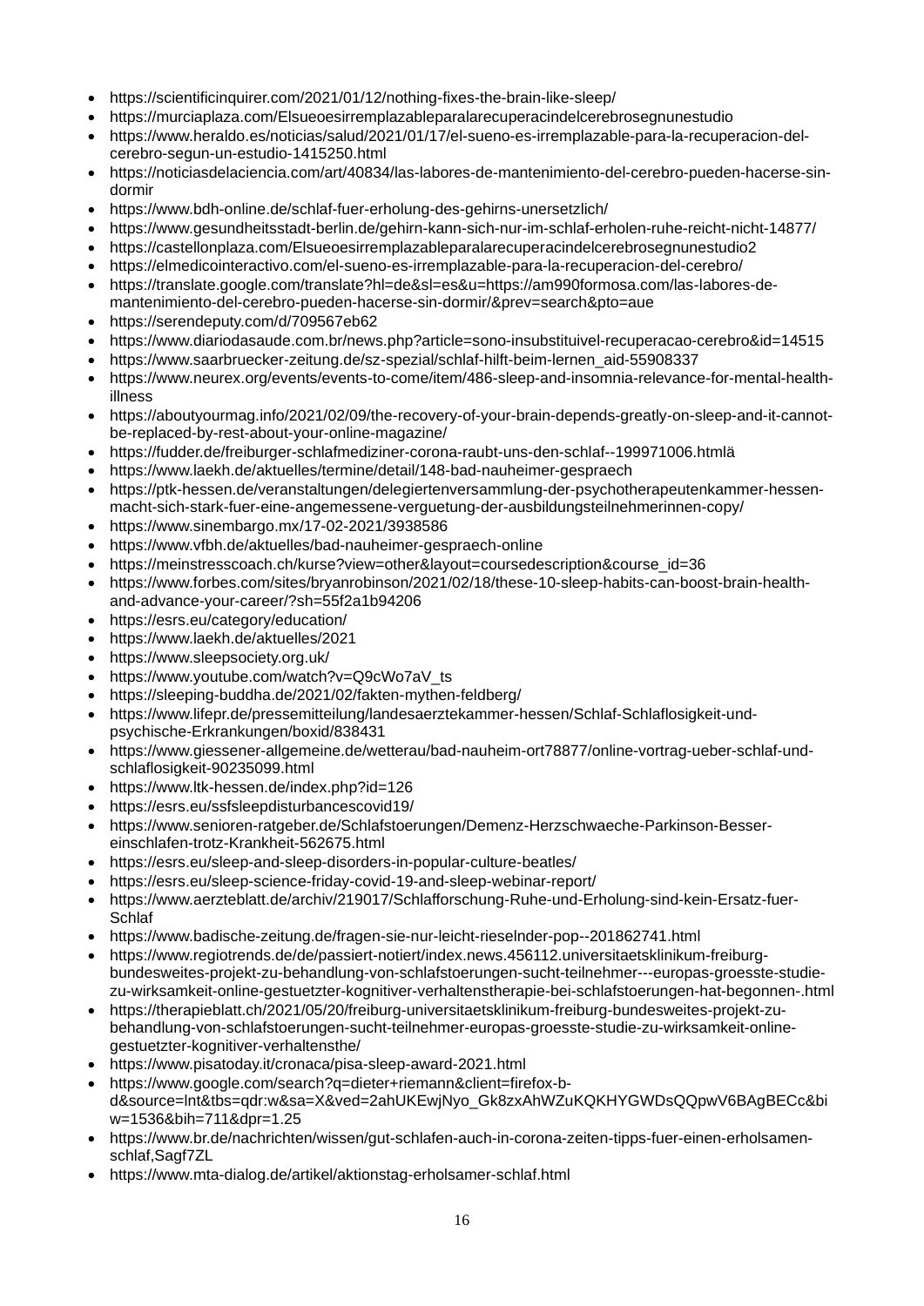- <https://scientificinquirer.com/2021/01/12/nothing-fixes-the-brain-like-sleep/>
- <https://murciaplaza.com/Elsueoesirremplazableparalarecuperacindelcerebrosegnunestudio>
- [https://www.heraldo.es/noticias/salud/2021/01/17/el-sueno-es-irremplazable-para-la-recuperacion-del](https://www.heraldo.es/noticias/salud/2021/01/17/el-sueno-es-irremplazable-para-la-recuperacion-del-cerebro-segun-un-estudio-1415250.html)[cerebro-segun-un-estudio-1415250.html](https://www.heraldo.es/noticias/salud/2021/01/17/el-sueno-es-irremplazable-para-la-recuperacion-del-cerebro-segun-un-estudio-1415250.html)
- [https://noticiasdelaciencia.com/art/40834/las-labores-de-mantenimiento-del-cerebro-pueden-hacerse-sin](https://noticiasdelaciencia.com/art/40834/las-labores-de-mantenimiento-del-cerebro-pueden-hacerse-sin-dormir)[dormir](https://noticiasdelaciencia.com/art/40834/las-labores-de-mantenimiento-del-cerebro-pueden-hacerse-sin-dormir)
- <https://www.bdh-online.de/schlaf-fuer-erholung-des-gehirns-unersetzlich/>
- <https://www.gesundheitsstadt-berlin.de/gehirn-kann-sich-nur-im-schlaf-erholen-ruhe-reicht-nicht-14877/>
- <https://castellonplaza.com/Elsueoesirremplazableparalarecuperacindelcerebrosegnunestudio2>
- <https://elmedicointeractivo.com/el-sueno-es-irremplazable-para-la-recuperacion-del-cerebro/>
- [https://translate.google.com/translate?hl=de&sl=es&u=https://am990formosa.com/las-labores-de](https://translate.google.com/translate?hl=de&sl=es&u=https://am990formosa.com/las-labores-de-mantenimiento-del-cerebro-pueden-hacerse-sin-dormir/&prev=search&pto=aue)[mantenimiento-del-cerebro-pueden-hacerse-sin-dormir/&prev=search&pto=aue](https://translate.google.com/translate?hl=de&sl=es&u=https://am990formosa.com/las-labores-de-mantenimiento-del-cerebro-pueden-hacerse-sin-dormir/&prev=search&pto=aue)
- <https://serendeputy.com/d/709567eb62>
- <https://www.diariodasaude.com.br/news.php?article=sono-insubstituivel-recuperacao-cerebro&id=14515>
- [https://www.saarbruecker-zeitung.de/sz-spezial/schlaf-hilft-beim-lernen\\_aid-55908337](https://www.saarbruecker-zeitung.de/sz-spezial/schlaf-hilft-beim-lernen_aid-55908337)
- [https://www.neurex.org/events/events-to-come/item/486-sleep-and-insomnia-relevance-for-mental-health](https://www.neurex.org/events/events-to-come/item/486-sleep-and-insomnia-relevance-for-mental-health-illness)[illness](https://www.neurex.org/events/events-to-come/item/486-sleep-and-insomnia-relevance-for-mental-health-illness)
- [https://aboutyourmag.info/2021/02/09/the-recovery-of-your-brain-depends-greatly-on-sleep-and-it-cannot](https://aboutyourmag.info/2021/02/09/the-recovery-of-your-brain-depends-greatly-on-sleep-and-it-cannot-be-replaced-by-rest-about-your-online-magazine/)[be-replaced-by-rest-about-your-online-magazine/](https://aboutyourmag.info/2021/02/09/the-recovery-of-your-brain-depends-greatly-on-sleep-and-it-cannot-be-replaced-by-rest-about-your-online-magazine/)
- <https://fudder.de/freiburger-schlafmediziner-corona-raubt-uns-den-schlaf--199971006.htmlä>
- <https://www.laekh.de/aktuelles/termine/detail/148-bad-nauheimer-gespraech>
- [https://ptk-hessen.de/veranstaltungen/delegiertenversammlung-der-psychotherapeutenkammer-hessen](https://ptk-hessen.de/veranstaltungen/delegiertenversammlung-der-psychotherapeutenkammer-hessen-macht-sich-stark-fuer-eine-angemessene-verguetung-der-ausbildungsteilnehmerinnen-copy/)[macht-sich-stark-fuer-eine-angemessene-verguetung-der-ausbildungsteilnehmerinnen-copy/](https://ptk-hessen.de/veranstaltungen/delegiertenversammlung-der-psychotherapeutenkammer-hessen-macht-sich-stark-fuer-eine-angemessene-verguetung-der-ausbildungsteilnehmerinnen-copy/)
- <https://www.sinembargo.mx/17-02-2021/3938586>
- <https://www.vfbh.de/aktuelles/bad-nauheimer-gespraech-online>
- [https://meinstresscoach.ch/kurse?view=other&layout=coursedescription&course\\_id=36](https://meinstresscoach.ch/kurse?view=other&layout=coursedescription&course_id=36)
- [https://www.forbes.com/sites/bryanrobinson/2021/02/18/these-10-sleep-habits-can-boost-brain-health](https://www.forbes.com/sites/bryanrobinson/2021/02/18/these-10-sleep-habits-can-boost-brain-health-and-advance-your-career/?sh=55f2a1b94206)[and-advance-your-career/?sh=55f2a1b94206](https://www.forbes.com/sites/bryanrobinson/2021/02/18/these-10-sleep-habits-can-boost-brain-health-and-advance-your-career/?sh=55f2a1b94206)
- <https://esrs.eu/category/education/>
- <https://www.laekh.de/aktuelles/2021>
- <https://www.sleepsociety.org.uk/>
- [https://www.youtube.com/watch?v=Q9cWo7aV\\_ts](https://www.youtube.com/watch?v=Q9cWo7aV_ts)
- <https://sleeping-buddha.de/2021/02/fakten-mythen-feldberg/>
- [https://www.lifepr.de/pressemitteilung/landesaerztekammer-hessen/Schlaf-Schlaflosigkeit-und](https://www.lifepr.de/pressemitteilung/landesaerztekammer-hessen/Schlaf-Schlaflosigkeit-und-psychische-Erkrankungen/boxid/838431)[psychische-Erkrankungen/boxid/838431](https://www.lifepr.de/pressemitteilung/landesaerztekammer-hessen/Schlaf-Schlaflosigkeit-und-psychische-Erkrankungen/boxid/838431)
- [https://www.giessener-allgemeine.de/wetterau/bad-nauheim-ort78877/online-vortrag-ueber-schlaf-und](https://www.giessener-allgemeine.de/wetterau/bad-nauheim-ort78877/online-vortrag-ueber-schlaf-und-schlaflosigkeit-90235099.html)[schlaflosigkeit-90235099.html](https://www.giessener-allgemeine.de/wetterau/bad-nauheim-ort78877/online-vortrag-ueber-schlaf-und-schlaflosigkeit-90235099.html)
- <https://www.ltk-hessen.de/index.php?id=126>
- <https://esrs.eu/ssfsleepdisturbancescovid19/>
- [https://www.senioren-ratgeber.de/Schlafstoerungen/Demenz-Herzschwaeche-Parkinson-Besser](https://www.senioren-ratgeber.de/Schlafstoerungen/Demenz-Herzschwaeche-Parkinson-Besser-einschlafen-trotz-Krankheit-562675.html)[einschlafen-trotz-Krankheit-562675.html](https://www.senioren-ratgeber.de/Schlafstoerungen/Demenz-Herzschwaeche-Parkinson-Besser-einschlafen-trotz-Krankheit-562675.html)
- <https://esrs.eu/sleep-and-sleep-disorders-in-popular-culture-beatles/>
- <https://esrs.eu/sleep-science-friday-covid-19-and-sleep-webinar-report/>
- [https://www.aerzteblatt.de/archiv/219017/Schlafforschung-Ruhe-und-Erholung-sind-kein-Ersatz-fuer-](https://www.aerzteblatt.de/archiv/219017/Schlafforschung-Ruhe-und-Erholung-sind-kein-Ersatz-fuer-Schlaf)**[Schlaf](https://www.aerzteblatt.de/archiv/219017/Schlafforschung-Ruhe-und-Erholung-sind-kein-Ersatz-fuer-Schlaf)**
- <https://www.badische-zeitung.de/fragen-sie-nur-leicht-rieselnder-pop--201862741.html>
- [https://www.regiotrends.de/de/passiert-notiert/index.news.456112.universitaetsklinikum-freiburg](https://www.regiotrends.de/de/passiert-notiert/index.news.456112.universitaetsklinikum-freiburg-bundesweites-projekt-zu-behandlung-von-schlafstoerungen-sucht-teilnehmer---europas-groesste-studie-zu-wirksamkeit-online-gestuetzter-kognitiver-verhaltenstherapie-bei-schlafstoerungen-hat-begonnen-.html)[bundesweites-projekt-zu-behandlung-von-schlafstoerungen-sucht-teilnehmer---europas-groesste-studie](https://www.regiotrends.de/de/passiert-notiert/index.news.456112.universitaetsklinikum-freiburg-bundesweites-projekt-zu-behandlung-von-schlafstoerungen-sucht-teilnehmer---europas-groesste-studie-zu-wirksamkeit-online-gestuetzter-kognitiver-verhaltenstherapie-bei-schlafstoerungen-hat-begonnen-.html)[zu-wirksamkeit-online-gestuetzter-kognitiver-verhaltenstherapie-bei-schlafstoerungen-hat-begonnen-.html](https://www.regiotrends.de/de/passiert-notiert/index.news.456112.universitaetsklinikum-freiburg-bundesweites-projekt-zu-behandlung-von-schlafstoerungen-sucht-teilnehmer---europas-groesste-studie-zu-wirksamkeit-online-gestuetzter-kognitiver-verhaltenstherapie-bei-schlafstoerungen-hat-begonnen-.html)
- [https://therapieblatt.ch/2021/05/20/freiburg-universitaetsklinikum-freiburg-bundesweites-projekt-zu](https://therapieblatt.ch/2021/05/20/freiburg-universitaetsklinikum-freiburg-bundesweites-projekt-zu-behandlung-von-schlafstoerungen-sucht-teilnehmer-europas-groesste-studie-zu-wirksamkeit-online-gestuetzter-kognitiver-verhaltensthe/)[behandlung-von-schlafstoerungen-sucht-teilnehmer-europas-groesste-studie-zu-wirksamkeit-online](https://therapieblatt.ch/2021/05/20/freiburg-universitaetsklinikum-freiburg-bundesweites-projekt-zu-behandlung-von-schlafstoerungen-sucht-teilnehmer-europas-groesste-studie-zu-wirksamkeit-online-gestuetzter-kognitiver-verhaltensthe/)[gestuetzter-kognitiver-verhaltensthe/](https://therapieblatt.ch/2021/05/20/freiburg-universitaetsklinikum-freiburg-bundesweites-projekt-zu-behandlung-von-schlafstoerungen-sucht-teilnehmer-europas-groesste-studie-zu-wirksamkeit-online-gestuetzter-kognitiver-verhaltensthe/)
- <https://www.pisatoday.it/cronaca/pisa-sleep-award-2021.html>
- [https://www.google.com/search?q=dieter+riemann&client=firefox-b](https://www.google.com/search?q=dieter+riemann&client=firefox-b-d&source=lnt&tbs=qdr:w&sa=X&ved=2ahUKEwjNyo_Gk8zxAhWZuKQKHYGWDsQQpwV6BAgBECc&biw=1536&bih=711&dpr=1.25)[d&source=lnt&tbs=qdr:w&sa=X&ved=2ahUKEwjNyo\\_Gk8zxAhWZuKQKHYGWDsQQpwV6BAgBECc&bi](https://www.google.com/search?q=dieter+riemann&client=firefox-b-d&source=lnt&tbs=qdr:w&sa=X&ved=2ahUKEwjNyo_Gk8zxAhWZuKQKHYGWDsQQpwV6BAgBECc&biw=1536&bih=711&dpr=1.25) [w=1536&bih=711&dpr=1.25](https://www.google.com/search?q=dieter+riemann&client=firefox-b-d&source=lnt&tbs=qdr:w&sa=X&ved=2ahUKEwjNyo_Gk8zxAhWZuKQKHYGWDsQQpwV6BAgBECc&biw=1536&bih=711&dpr=1.25)
- [https://www.br.de/nachrichten/wissen/gut-schlafen-auch-in-corona-zeiten-tipps-fuer-einen-erholsamen](https://www.br.de/nachrichten/wissen/gut-schlafen-auch-in-corona-zeiten-tipps-fuer-einen-erholsamen-schlaf,Sagf7ZL)[schlaf,Sagf7ZL](https://www.br.de/nachrichten/wissen/gut-schlafen-auch-in-corona-zeiten-tipps-fuer-einen-erholsamen-schlaf,Sagf7ZL)
- <https://www.mta-dialog.de/artikel/aktionstag-erholsamer-schlaf.html>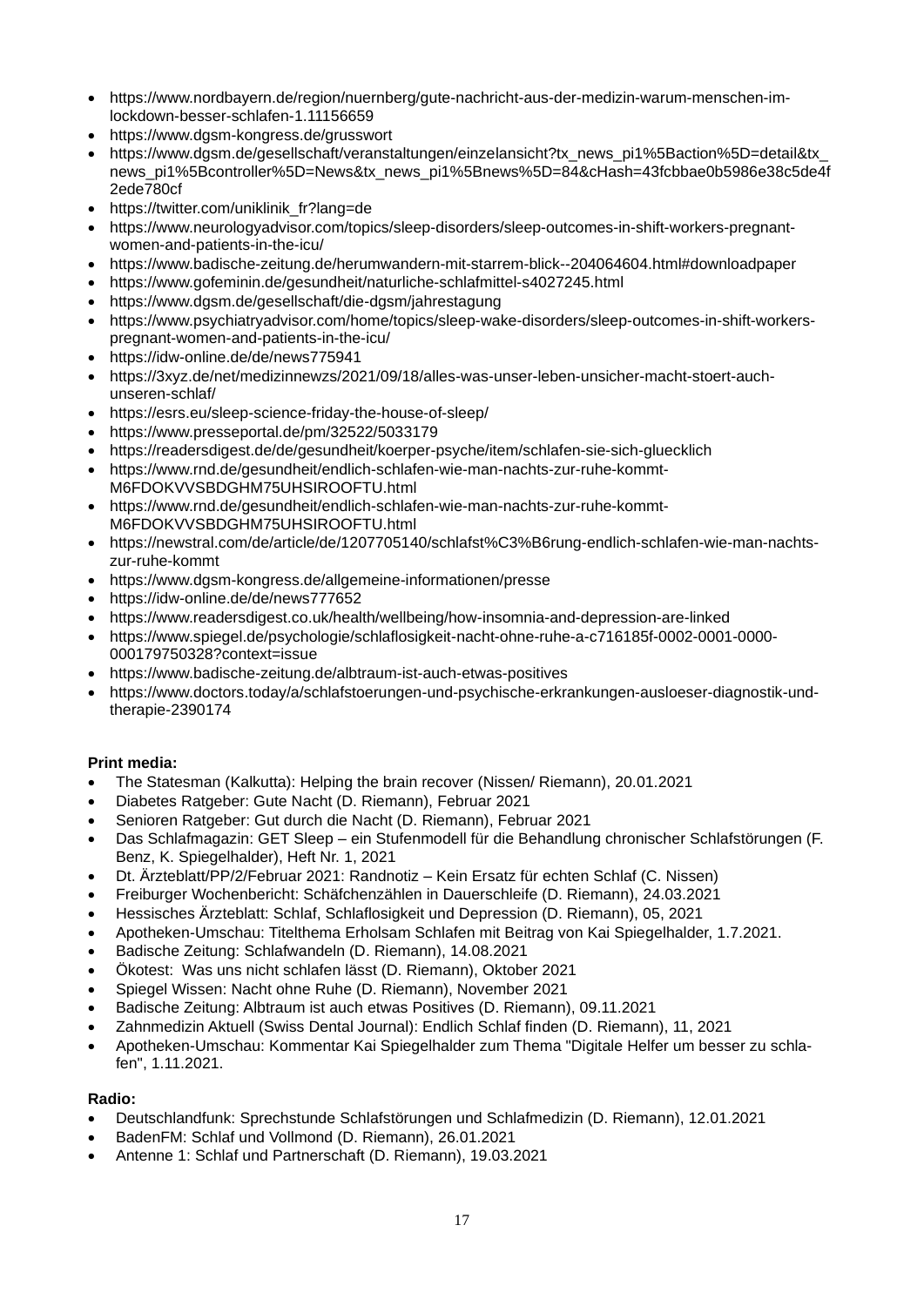- [https://www.nordbayern.de/region/nuernberg/gute-nachricht-aus-der-medizin-warum-menschen-im](https://www.nordbayern.de/region/nuernberg/gute-nachricht-aus-der-medizin-warum-menschen-im-lockdown-besser-schlafen-1.11156659)[lockdown-besser-schlafen-1.11156659](https://www.nordbayern.de/region/nuernberg/gute-nachricht-aus-der-medizin-warum-menschen-im-lockdown-besser-schlafen-1.11156659)
- <https://www.dgsm-kongress.de/grusswort>
- https://www.dgsm.de/gesellschaft/veranstaltungen/einzelansicht?tx\_news\_pi1%5Baction%5D=detail&tx [news\\_pi1%5Bcontroller%5D=News&tx\\_news\\_pi1%5Bnews%5D=84&cHash=43fcbbae0b5986e38c5de4f](https://www.dgsm.de/gesellschaft/veranstaltungen/einzelansicht?tx_news_pi1%5Baction%5D=detail&tx_news_pi1%5Bcontroller%5D=News&tx_news_pi1%5Bnews%5D=84&cHash=43fcbbae0b5986e38c5de4f2ede780cf) [2ede780cf](https://www.dgsm.de/gesellschaft/veranstaltungen/einzelansicht?tx_news_pi1%5Baction%5D=detail&tx_news_pi1%5Bcontroller%5D=News&tx_news_pi1%5Bnews%5D=84&cHash=43fcbbae0b5986e38c5de4f2ede780cf)
- [https://twitter.com/uniklinik\\_fr?lang=de](https://twitter.com/uniklinik_fr?lang=de)
- [https://www.neurologyadvisor.com/topics/sleep-disorders/sleep-outcomes-in-shift-workers-pregnant](https://www.neurologyadvisor.com/topics/sleep-disorders/sleep-outcomes-in-shift-workers-pregnant-women-and-patients-in-the-icu/)[women-and-patients-in-the-icu/](https://www.neurologyadvisor.com/topics/sleep-disorders/sleep-outcomes-in-shift-workers-pregnant-women-and-patients-in-the-icu/)
- <https://www.badische-zeitung.de/herumwandern-mit-starrem-blick--204064604.html#downloadpaper>
- <https://www.gofeminin.de/gesundheit/naturliche-schlafmittel-s4027245.html>
- <https://www.dgsm.de/gesellschaft/die-dgsm/jahrestagung>
- [https://www.psychiatryadvisor.com/home/topics/sleep-wake-disorders/sleep-outcomes-in-shift-workers](https://www.psychiatryadvisor.com/home/topics/sleep-wake-disorders/sleep-outcomes-in-shift-workers-pregnant-women-and-patients-in-the-icu/)[pregnant-women-and-patients-in-the-icu/](https://www.psychiatryadvisor.com/home/topics/sleep-wake-disorders/sleep-outcomes-in-shift-workers-pregnant-women-and-patients-in-the-icu/)
- <https://idw-online.de/de/news775941>
- [https://3xyz.de/net/medizinnewzs/2021/09/18/alles-was-unser-leben-unsicher-macht-stoert-auch](https://3xyz.de/net/medizinnewzs/2021/09/18/alles-was-unser-leben-unsicher-macht-stoert-auch-unseren-schlaf/)[unseren-schlaf/](https://3xyz.de/net/medizinnewzs/2021/09/18/alles-was-unser-leben-unsicher-macht-stoert-auch-unseren-schlaf/)
- <https://esrs.eu/sleep-science-friday-the-house-of-sleep/>
- <https://www.presseportal.de/pm/32522/5033179>
- <https://readersdigest.de/de/gesundheit/koerper-psyche/item/schlafen-sie-sich-gluecklich>
- [https://www.rnd.de/gesundheit/endlich-schlafen-wie-man-nachts-zur-ruhe-kommt-](https://www.rnd.de/gesundheit/endlich-schlafen-wie-man-nachts-zur-ruhe-kommt-M6FDOKVVSBDGHM75UHSIROOFTU.html)[M6FDOKVVSBDGHM75UHSIROOFTU.html](https://www.rnd.de/gesundheit/endlich-schlafen-wie-man-nachts-zur-ruhe-kommt-M6FDOKVVSBDGHM75UHSIROOFTU.html)
- https://www.rnd.de/gesundheit/endlich-schlafen-wie-man-nachts-zur-ruhe-kommt-M6FDOKVVSBDGHM75UHSIROOFTU.html
- [https://newstral.com/de/article/de/1207705140/schlafst%C3%B6rung-endlich-schlafen-wie-man-nachts](https://newstral.com/de/article/de/1207705140/schlafst%C3%B6rung-endlich-schlafen-wie-man-nachts-zur-ruhe-kommt)[zur-ruhe-kommt](https://newstral.com/de/article/de/1207705140/schlafst%C3%B6rung-endlich-schlafen-wie-man-nachts-zur-ruhe-kommt)
- <https://www.dgsm-kongress.de/allgemeine-informationen/presse>
- <https://idw-online.de/de/news777652>
- <https://www.readersdigest.co.uk/health/wellbeing/how-insomnia-and-depression-are-linked>
- [https://www.spiegel.de/psychologie/schlaflosigkeit-nacht-ohne-ruhe-a-c716185f-0002-0001-0000-](https://www.spiegel.de/psychologie/schlaflosigkeit-nacht-ohne-ruhe-a-c716185f-0002-0001-0000-000179750328?context=issue) [000179750328?context=issue](https://www.spiegel.de/psychologie/schlaflosigkeit-nacht-ohne-ruhe-a-c716185f-0002-0001-0000-000179750328?context=issue)
- <https://www.badische-zeitung.de/albtraum-ist-auch-etwas-positives>
- [https://www.doctors.today/a/schlafstoerungen-und-psychische-erkrankungen-ausloeser-diagnostik-und](https://www.doctors.today/a/schlafstoerungen-und-psychische-erkrankungen-ausloeser-diagnostik-und-therapie-2390174)[therapie-2390174](https://www.doctors.today/a/schlafstoerungen-und-psychische-erkrankungen-ausloeser-diagnostik-und-therapie-2390174)

# **Print media:**

- The Statesman (Kalkutta): Helping the brain recover (Nissen/ Riemann), 20.01.2021
- Diabetes Ratgeber: Gute Nacht (D. Riemann), Februar 2021
- Senioren Ratgeber: Gut durch die Nacht (D. Riemann), Februar 2021
- Das Schlafmagazin: GET Sleep ein Stufenmodell für die Behandlung chronischer Schlafstörungen (F. Benz, K. Spiegelhalder), Heft Nr. 1, 2021
- Dt. Ärzteblatt/PP/2/Februar 2021: Randnotiz Kein Ersatz für echten Schlaf (C. Nissen)
- Freiburger Wochenbericht: Schäfchenzählen in Dauerschleife (D. Riemann), 24.03.2021
- Hessisches Ärzteblatt: Schlaf, Schlaflosigkeit und Depression (D. Riemann), 05, 2021
- Apotheken-Umschau: Titelthema Erholsam Schlafen mit Beitrag von Kai Spiegelhalder, 1.7.2021.
- Badische Zeitung: Schlafwandeln (D. Riemann), 14.08.2021
- Ökotest: Was uns nicht schlafen lässt (D. Riemann), Oktober 2021
- Spiegel Wissen: Nacht ohne Ruhe (D. Riemann), November 2021
- Badische Zeitung: Albtraum ist auch etwas Positives (D. Riemann), 09.11.2021
- Zahnmedizin Aktuell (Swiss Dental Journal): Endlich Schlaf finden (D. Riemann), 11, 2021
- Apotheken-Umschau: Kommentar Kai Spiegelhalder zum Thema "Digitale Helfer um besser zu schlafen", 1.11.2021.

### **Radio:**

- Deutschlandfunk: Sprechstunde Schlafstörungen und Schlafmedizin (D. Riemann), 12.01.2021
- BadenFM: Schlaf und Vollmond (D. Riemann), 26.01.2021
- Antenne 1: Schlaf und Partnerschaft (D. Riemann), 19.03.2021